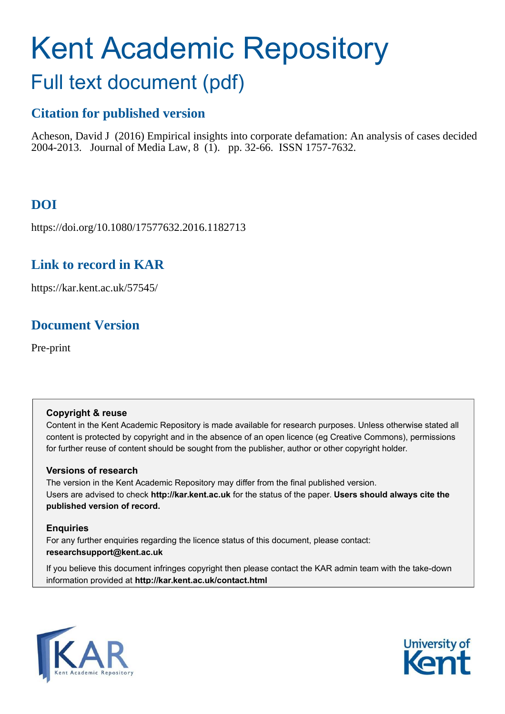# Kent Academic Repository

## Full text document (pdf)

## **Citation for published version**

Acheson, David J (2016) Empirical insights into corporate defamation: An analysis of cases decided 2004-2013. Journal of Media Law, 8 (1). pp. 32-66. ISSN 1757-7632.

## **DOI**

https://doi.org/10.1080/17577632.2016.1182713

## **Link to record in KAR**

https://kar.kent.ac.uk/57545/

## **Document Version**

Pre-print

#### **Copyright & reuse**

Content in the Kent Academic Repository is made available for research purposes. Unless otherwise stated all content is protected by copyright and in the absence of an open licence (eg Creative Commons), permissions for further reuse of content should be sought from the publisher, author or other copyright holder.

#### **Versions of research**

The version in the Kent Academic Repository may differ from the final published version. Users are advised to check **http://kar.kent.ac.uk** for the status of the paper. **Users should always cite the published version of record.**

#### **Enquiries**

For any further enquiries regarding the licence status of this document, please contact: **researchsupport@kent.ac.uk**

If you believe this document infringes copyright then please contact the KAR admin team with the take-down information provided at **http://kar.kent.ac.uk/contact.html**



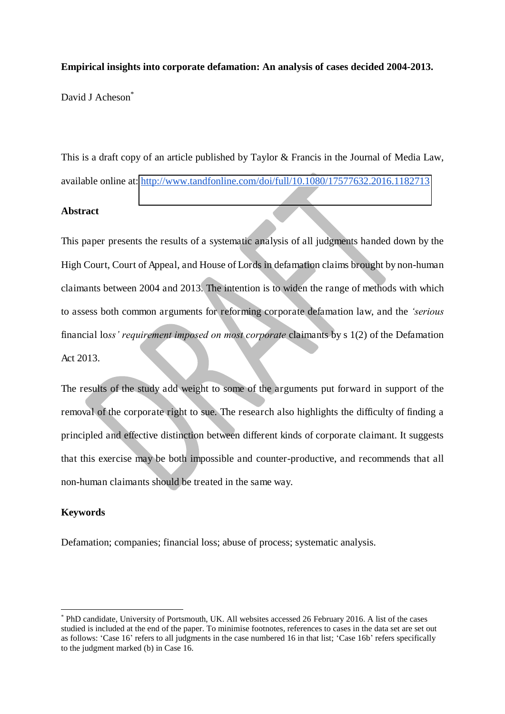#### **Empirical insights into corporate defamation: An analysis of cases decided 2004-2013.**

David J Acheson<sup>\*</sup>

This is a draft copy of an article published by Taylor & Francis in the Journal of Media Law, available online at: <http://www.tandfonline.com/doi/full/10.1080/17577632.2016.1182713>

#### **Abstract**

This paper presents the results of a systematic analysis of all judgments handed down by the High Court, Court of Appeal, and House of Lords in defamation claims brought by non-human claimants between 2004 and 2013. The intention is to widen the range of methods with which to assess both common arguments for reforming corporate defamation law, and the *'serious*  financial lo*ss' requirement imposed on most corporate* claimants by s 1(2) of the Defamation Act 2013.

The results of the study add weight to some of the arguments put forward in support of the removal of the corporate right to sue. The research also highlights the difficulty of finding a principled and effective distinction between different kinds of corporate claimant. It suggests that this exercise may be both impossible and counter-productive, and recommends that all non-human claimants should be treated in the same way.

#### **Keywords**

 $\overline{a}$ 

Defamation; companies; financial loss; abuse of process; systematic analysis.

<sup>\*</sup> PhD candidate, University of Portsmouth, UK. All websites accessed 26 February 2016. A list of the cases studied is included at the end of the paper. To minimise footnotes, references to cases in the data set are set out as follows: 'Case 16' refers to all judgments in the case numbered 16 in that list; 'Case 16b' refers specifically to the judgment marked (b) in Case 16.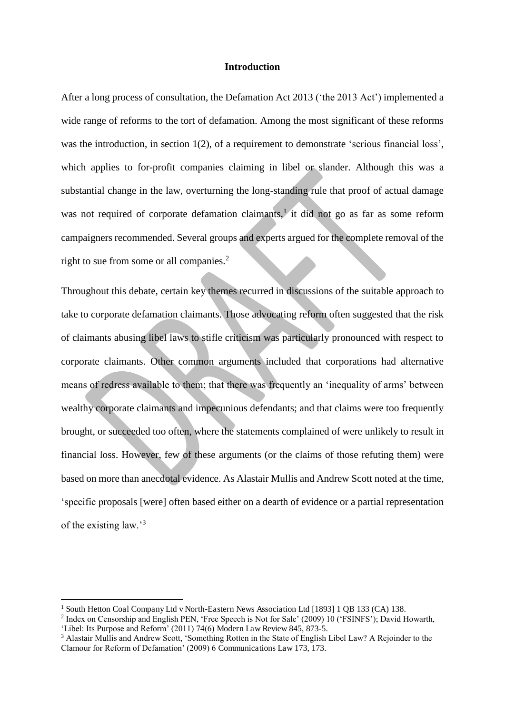#### **Introduction**

After a long process of consultation, the Defamation Act 2013 ('the 2013 Act') implemented a wide range of reforms to the tort of defamation. Among the most significant of these reforms was the introduction, in section 1(2), of a requirement to demonstrate 'serious financial loss', which applies to for-profit companies claiming in libel or slander. Although this was a substantial change in the law, overturning the long-standing rule that proof of actual damage was not required of corporate defamation claimants,<sup>1</sup> it did not go as far as some reform campaigners recommended. Several groups and experts argued for the complete removal of the right to sue from some or all companies.<sup>2</sup>

Throughout this debate, certain key themes recurred in discussions of the suitable approach to take to corporate defamation claimants. Those advocating reform often suggested that the risk of claimants abusing libel laws to stifle criticism was particularly pronounced with respect to corporate claimants. Other common arguments included that corporations had alternative means of redress available to them; that there was frequently an 'inequality of arms' between wealthy corporate claimants and impecunious defendants; and that claims were too frequently brought, or succeeded too often, where the statements complained of were unlikely to result in financial loss. However, few of these arguments (or the claims of those refuting them) were based on more than anecdotal evidence. As Alastair Mullis and Andrew Scott noted at the time, 'specific proposals [were] often based either on a dearth of evidence or a partial representation of the existing law.'<sup>3</sup>

<sup>1</sup> South Hetton Coal Company Ltd v North-Eastern News Association Ltd [1893] 1 QB 133 (CA) 138.

<sup>&</sup>lt;sup>2</sup> Index on Censorship and English PEN, 'Free Speech is Not for Sale' (2009) 10 ('FSINFS'); David Howarth, 'Libel: Its Purpose and Reform' (2011) 74(6) Modern Law Review 845, 873-5.

<sup>3</sup> Alastair Mullis and Andrew Scott, 'Something Rotten in the State of English Libel Law? A Rejoinder to the Clamour for Reform of Defamation' (2009) 6 Communications Law 173, 173.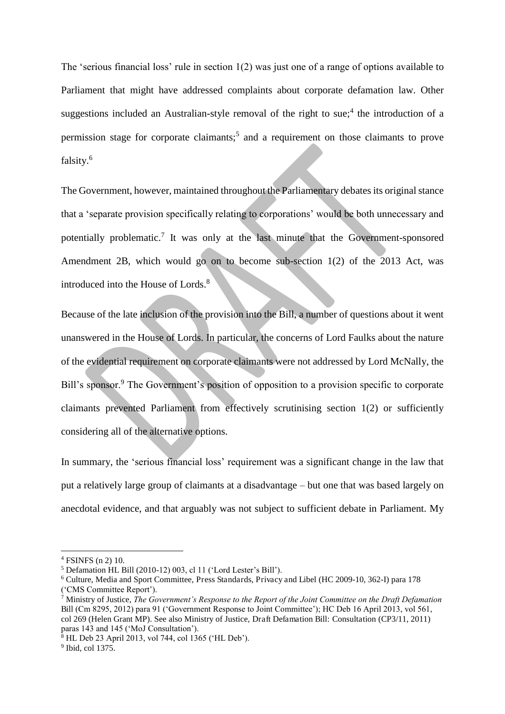The 'serious financial loss' rule in section 1(2) was just one of a range of options available to Parliament that might have addressed complaints about corporate defamation law. Other suggestions included an Australian-style removal of the right to sue;<sup>4</sup> the introduction of a permission stage for corporate claimants;<sup>5</sup> and a requirement on those claimants to prove falsity.<sup>6</sup>

The Government, however, maintained throughout the Parliamentary debates its original stance that a 'separate provision specifically relating to corporations' would be both unnecessary and potentially problematic.<sup>7</sup> It was only at the last minute that the Government-sponsored Amendment 2B, which would go on to become sub-section 1(2) of the 2013 Act, was introduced into the House of Lords.<sup>8</sup>

Because of the late inclusion of the provision into the Bill, a number of questions about it went unanswered in the House of Lords. In particular, the concerns of Lord Faulks about the nature of the evidential requirement on corporate claimants were not addressed by Lord McNally, the Bill's sponsor.<sup>9</sup> The Government's position of opposition to a provision specific to corporate claimants prevented Parliament from effectively scrutinising section 1(2) or sufficiently considering all of the alternative options.

In summary, the 'serious financial loss' requirement was a significant change in the law that put a relatively large group of claimants at a disadvantage – but one that was based largely on anecdotal evidence, and that arguably was not subject to sufficient debate in Parliament. My

<sup>4</sup> FSINFS (n 2) 10.

<sup>5</sup> Defamation HL Bill (2010-12) 003, cl 11 ('Lord Lester's Bill').

<sup>6</sup> Culture, Media and Sport Committee, Press Standards, Privacy and Libel (HC 2009-10, 362-I) para 178 ('CMS Committee Report').<br><sup>7</sup> Ministry of Justice *The Go* 

Ministry of Justice, *The Government's Response to the Report of the Joint Committee on the Draft Defamation*  Bill (Cm 8295, 2012) para 91 ('Government Response to Joint Committee'); HC Deb 16 April 2013, vol 561, col 269 (Helen Grant MP). See also Ministry of Justice, Draft Defamation Bill: Consultation (CP3/11, 2011) paras 143 and 145 ('MoJ Consultation').

 $8$  HL Deb 23 April 2013, vol 744, col 1365 ('HL Deb').

<sup>9</sup> Ibid, col 1375.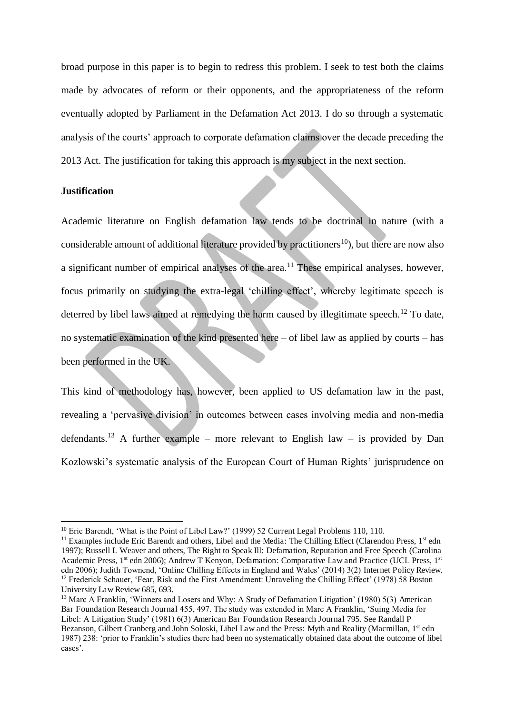broad purpose in this paper is to begin to redress this problem. I seek to test both the claims made by advocates of reform or their opponents, and the appropriateness of the reform eventually adopted by Parliament in the Defamation Act 2013. I do so through a systematic analysis of the courts' approach to corporate defamation claims over the decade preceding the 2013 Act. The justification for taking this approach is my subject in the next section.

#### **Justification**

 $\overline{a}$ 

Academic literature on English defamation law tends to be doctrinal in nature (with a considerable amount of additional literature provided by practitioners<sup>10</sup>), but there are now also a significant number of empirical analyses of the area.<sup>11</sup> These empirical analyses, however, focus primarily on studying the extra-legal 'chilling effect', whereby legitimate speech is deterred by libel laws aimed at remedying the harm caused by illegitimate speech.<sup>12</sup> To date, no systematic examination of the kind presented here – of libel law as applied by courts – has been performed in the UK.

This kind of methodology has, however, been applied to US defamation law in the past, revealing a 'pervasive division' in outcomes between cases involving media and non-media defendants.<sup>13</sup> A further example – more relevant to English law – is provided by Dan Kozlowski's systematic analysis of the European Court of Human Rights' jurisprudence on

<sup>&</sup>lt;sup>10</sup> Eric Barendt, 'What is the Point of Libel Law?' (1999) 52 Current Legal Problems 110, 110.

 $11$  Examples include Eric Barendt and others, Libel and the Media: The Chilling Effect (Clarendon Press,  $1<sup>st</sup>$  edn 1997); Russell L Weaver and others, The Right to Speak Ill: Defamation, Reputation and Free Speech (Carolina Academic Press,  $1^{st}$  edn 2006); Andrew T Kenyon, Defamation: Comparative Law and Practice (UCL Press,  $1^{st}$ edn 2006); Judith Townend, 'Online Chilling Effects in England and Wales' (2014) 3(2) Internet Policy Review. <sup>12</sup> Frederick Schauer, 'Fear, Risk and the First Amendment: Unraveling the Chilling Effect' (1978) 58 Boston University Law Review 685, 693.

<sup>13</sup> Marc A Franklin, 'Winners and Losers and Why: A Study of Defamation Litigation' (1980) 5(3) American Bar Foundation Research Journal 455, 497. The study was extended in Marc A Franklin, 'Suing Media for Libel: A Litigation Study' (1981) 6(3) American Bar Foundation Research Journal 795. See Randall P Bezanson, Gilbert Cranberg and John Soloski, Libel Law and the Press: Myth and Reality (Macmillan, 1<sup>st</sup> edn 1987) 238: 'prior to Franklin's studies there had been no systematically obtained data about the outcome of libel cases'.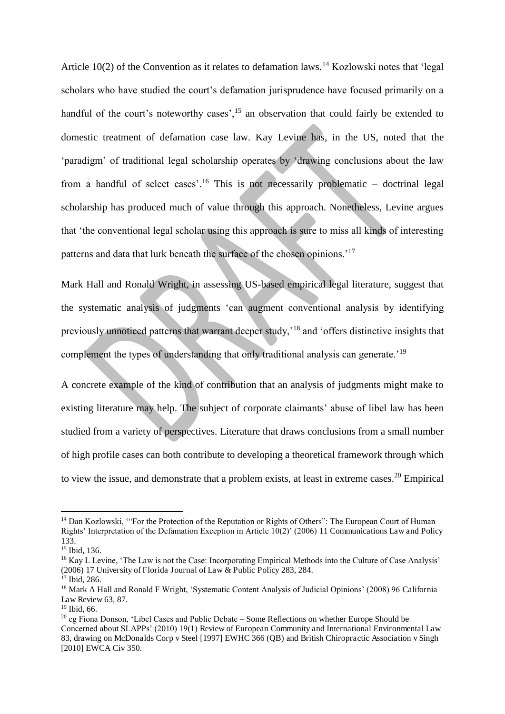Article 10(2) of the Convention as it relates to defamation laws.<sup>14</sup> Kozlowski notes that 'legal scholars who have studied the court's defamation jurisprudence have focused primarily on a handful of the court's noteworthy cases', <sup>15</sup> an observation that could fairly be extended to domestic treatment of defamation case law. Kay Levine has, in the US, noted that the 'paradigm' of traditional legal scholarship operates by 'drawing conclusions about the law from a handful of select cases'.<sup>16</sup> This is not necessarily problematic – doctrinal legal scholarship has produced much of value through this approach. Nonetheless, Levine argues that 'the conventional legal scholar using this approach is sure to miss all kinds of interesting patterns and data that lurk beneath the surface of the chosen opinions.<sup>'17</sup>

Mark Hall and Ronald Wright, in assessing US-based empirical legal literature, suggest that the systematic analysis of judgments 'can augment conventional analysis by identifying previously unnoticed patterns that warrant deeper study,'<sup>18</sup> and 'offers distinctive insights that complement the types of understanding that only traditional analysis can generate.<sup>'19</sup>

A concrete example of the kind of contribution that an analysis of judgments might make to existing literature may help. The subject of corporate claimants' abuse of libel law has been studied from a variety of perspectives. Literature that draws conclusions from a small number of high profile cases can both contribute to developing a theoretical framework through which to view the issue, and demonstrate that a problem exists, at least in extreme cases.<sup>20</sup> Empirical

<sup>&</sup>lt;sup>14</sup> Dan Kozlowski, "For the Protection of the Reputation or Rights of Others": The European Court of Human Rights' Interpretation of the Defamation Exception in Article 10(2)' (2006) 11 Communications Law and Policy 133.

<sup>15</sup> Ibid, 136.

<sup>&</sup>lt;sup>16</sup> Kay L Levine, 'The Law is not the Case: Incorporating Empirical Methods into the Culture of Case Analysis' (2006) 17 University of Florida Journal of Law & Public Policy 283, 284.

<sup>&</sup>lt;sup>17</sup> Ibid, 286.

<sup>18</sup> Mark A Hall and Ronald F Wright, 'Systematic Content Analysis of Judicial Opinions' (2008) 96 California Law Review 63, 87.

<sup>19</sup> Ibid, 66.

<sup>20</sup> eg Fiona Donson, 'Libel Cases and Public Debate – Some Reflections on whether Europe Should be Concerned about SLAPPs' (2010) 19(1) Review of European Community and International Environmental Law 83, drawing on McDonalds Corp v Steel [1997] EWHC 366 (QB) and British Chiropractic Association v Singh [2010] EWCA Civ 350.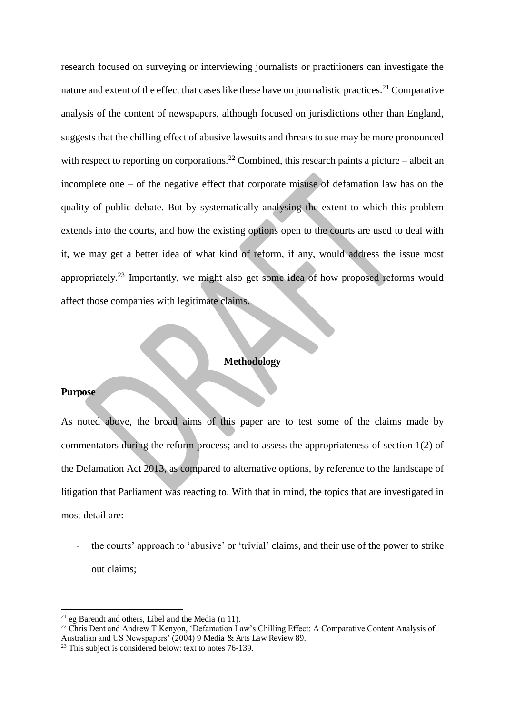research focused on surveying or interviewing journalists or practitioners can investigate the nature and extent of the effect that cases like these have on journalistic practices.<sup>21</sup> Comparative analysis of the content of newspapers, although focused on jurisdictions other than England, suggests that the chilling effect of abusive lawsuits and threats to sue may be more pronounced with respect to reporting on corporations.<sup>22</sup> Combined, this research paints a picture – albeit an incomplete one – of the negative effect that corporate misuse of defamation law has on the quality of public debate. But by systematically analysing the extent to which this problem extends into the courts, and how the existing options open to the courts are used to deal with it, we may get a better idea of what kind of reform, if any, would address the issue most appropriately.<sup>23</sup> Importantly, we might also get some idea of how proposed reforms would affect those companies with legitimate claims.

#### **Methodology**

#### **Purpose**

 $\overline{a}$ 

As noted above, the broad aims of this paper are to test some of the claims made by commentators during the reform process; and to assess the appropriateness of section 1(2) of the Defamation Act 2013, as compared to alternative options, by reference to the landscape of litigation that Parliament was reacting to. With that in mind, the topics that are investigated in most detail are:

the courts' approach to 'abusive' or 'trivial' claims, and their use of the power to strike out claims;

 $21$  eg Barendt and others, Libel and the Media (n 11).

<sup>&</sup>lt;sup>22</sup> Chris Dent and Andrew T Kenyon, 'Defamation Law's Chilling Effect: A Comparative Content Analysis of Australian and US Newspapers' (2004) 9 Media & Arts Law Review 89.

 $23$  This subject is considered below: text to notes 76-139.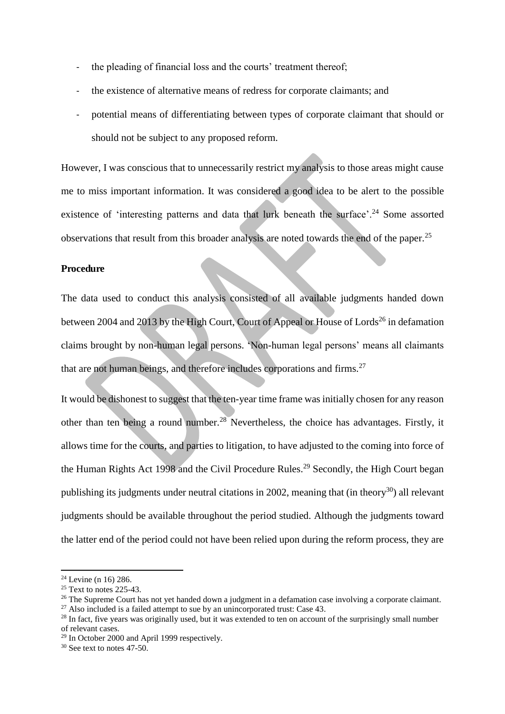- the pleading of financial loss and the courts' treatment thereof;
- the existence of alternative means of redress for corporate claimants; and
- potential means of differentiating between types of corporate claimant that should or should not be subject to any proposed reform.

However, I was conscious that to unnecessarily restrict my analysis to those areas might cause me to miss important information. It was considered a good idea to be alert to the possible existence of 'interesting patterns and data that lurk beneath the surface'.<sup>24</sup> Some assorted observations that result from this broader analysis are noted towards the end of the paper.<sup>25</sup>

#### **Procedure**

The data used to conduct this analysis consisted of all available judgments handed down between 2004 and 2013 by the High Court, Court of Appeal or House of Lords<sup>26</sup> in defamation claims brought by non-human legal persons. 'Non-human legal persons' means all claimants that are not human beings, and therefore includes corporations and firms.<sup>27</sup>

It would be dishonest to suggest that the ten-year time frame was initially chosen for any reason other than ten being a round number.<sup>28</sup> Nevertheless, the choice has advantages. Firstly, it allows time for the courts, and parties to litigation, to have adjusted to the coming into force of the Human Rights Act 1998 and the Civil Procedure Rules.<sup>29</sup> Secondly, the High Court began publishing its judgments under neutral citations in 2002, meaning that (in theory<sup>30</sup>) all relevant judgments should be available throughout the period studied. Although the judgments toward the latter end of the period could not have been relied upon during the reform process, they are

 $24$  Levine (n 16) 286.

 $25$  Text to notes 225-43.

<sup>&</sup>lt;sup>26</sup> The Supreme Court has not yet handed down a judgment in a defamation case involving a corporate claimant.

 $27$  Also included is a failed attempt to sue by an unincorporated trust: Case 43.

<sup>&</sup>lt;sup>28</sup> In fact, five years was originally used, but it was extended to ten on account of the surprisingly small number

of relevant cases.

 $29$  In October 2000 and April 1999 respectively.

 $30$  See text to notes 47-50.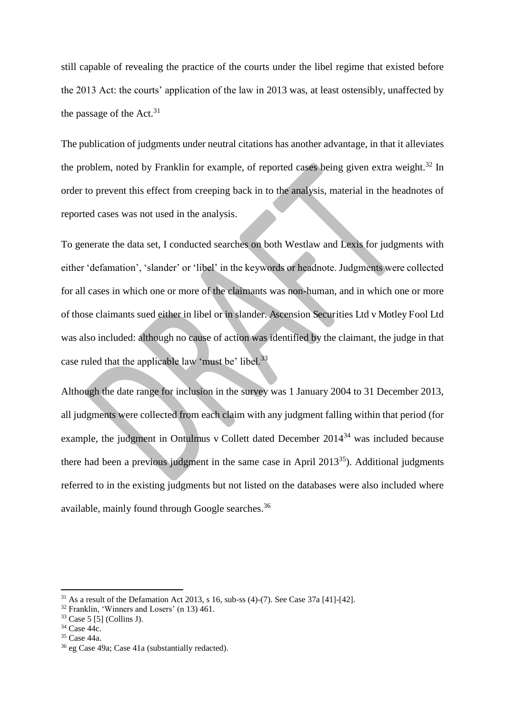still capable of revealing the practice of the courts under the libel regime that existed before the 2013 Act: the courts' application of the law in 2013 was, at least ostensibly, unaffected by the passage of the Act.<sup>31</sup>

The publication of judgments under neutral citations has another advantage, in that it alleviates the problem, noted by Franklin for example, of reported cases being given extra weight.<sup>32</sup> In order to prevent this effect from creeping back in to the analysis, material in the headnotes of reported cases was not used in the analysis.

To generate the data set, I conducted searches on both Westlaw and Lexis for judgments with either 'defamation', 'slander' or 'libel' in the keywords or headnote. Judgments were collected for all cases in which one or more of the claimants was non-human, and in which one or more of those claimants sued either in libel or in slander. Ascension Securities Ltd v Motley Fool Ltd was also included: although no cause of action was identified by the claimant, the judge in that case ruled that the applicable law 'must be' libel.<sup>33</sup>

Although the date range for inclusion in the survey was 1 January 2004 to 31 December 2013, all judgments were collected from each claim with any judgment falling within that period (for example, the judgment in Ontulmus v Collett dated December 2014<sup>34</sup> was included because there had been a previous judgment in the same case in April  $2013^{35}$ ). Additional judgments referred to in the existing judgments but not listed on the databases were also included where available, mainly found through Google searches.<sup>36</sup>

 $31$  As a result of the Defamation Act 2013, s 16, sub-ss (4)-(7). See Case 37a [41]-[42].

<sup>32</sup> Franklin, 'Winners and Losers' (n 13) 461.

<sup>33</sup> Case 5 [5] (Collins J).

<sup>34</sup> Case 44c.

<sup>35</sup> Case 44a.

<sup>36</sup> eg Case 49a; Case 41a (substantially redacted).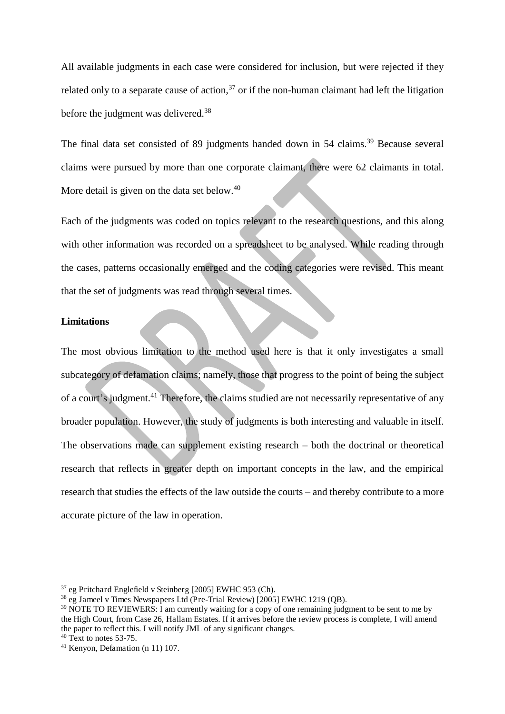All available judgments in each case were considered for inclusion, but were rejected if they related only to a separate cause of action,  $37$  or if the non-human claimant had left the litigation before the judgment was delivered.<sup>38</sup>

The final data set consisted of 89 judgments handed down in 54 claims.<sup>39</sup> Because several claims were pursued by more than one corporate claimant, there were 62 claimants in total. More detail is given on the data set below.<sup>40</sup>

Each of the judgments was coded on topics relevant to the research questions, and this along with other information was recorded on a spreadsheet to be analysed. While reading through the cases, patterns occasionally emerged and the coding categories were revised. This meant that the set of judgments was read through several times.

#### **Limitations**

The most obvious limitation to the method used here is that it only investigates a small subcategory of defamation claims; namely, those that progress to the point of being the subject of a court's judgment.<sup>41</sup> Therefore, the claims studied are not necessarily representative of any broader population. However, the study of judgments is both interesting and valuable in itself. The observations made can supplement existing research – both the doctrinal or theoretical research that reflects in greater depth on important concepts in the law, and the empirical research that studies the effects of the law outside the courts – and thereby contribute to a more accurate picture of the law in operation.

<sup>37</sup> eg Pritchard Englefield v Steinberg [2005] EWHC 953 (Ch).

<sup>38</sup> eg Jameel v Times Newspapers Ltd (Pre-Trial Review) [2005] EWHC 1219 (QB).

<sup>39</sup> NOTE TO REVIEWERS: I am currently waiting for a copy of one remaining judgment to be sent to me by the High Court, from Case 26, Hallam Estates. If it arrives before the review process is complete, I will amend the paper to reflect this. I will notify JML of any significant changes.

 $40$  Text to notes 53-75.

<sup>41</sup> Kenyon, Defamation (n 11) 107.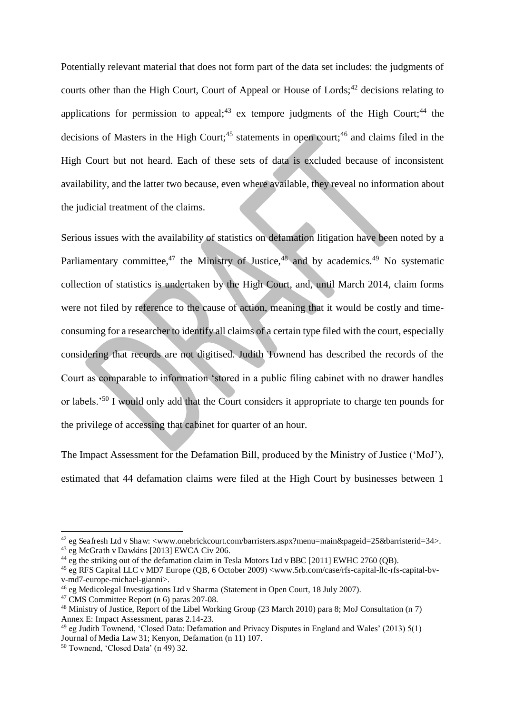Potentially relevant material that does not form part of the data set includes: the judgments of courts other than the High Court, Court of Appeal or House of Lords;<sup>42</sup> decisions relating to applications for permission to appeal;<sup>43</sup> ex tempore judgments of the High Court;<sup>44</sup> the decisions of Masters in the High Court;<sup>45</sup> statements in open court;<sup>46</sup> and claims filed in the High Court but not heard. Each of these sets of data is excluded because of inconsistent availability, and the latter two because, even where available, they reveal no information about the judicial treatment of the claims.

Serious issues with the availability of statistics on defamation litigation have been noted by a Parliamentary committee,<sup>47</sup> the Ministry of Justice,<sup>48</sup> and by academics.<sup>49</sup> No systematic collection of statistics is undertaken by the High Court, and, until March 2014, claim forms were not filed by reference to the cause of action, meaning that it would be costly and timeconsuming for a researcher to identify all claims of a certain type filed with the court, especially considering that records are not digitised. Judith Townend has described the records of the Court as comparable to information 'stored in a public filing cabinet with no drawer handles or labels.'<sup>50</sup> I would only add that the Court considers it appropriate to charge ten pounds for the privilege of accessing that cabinet for quarter of an hour.

The Impact Assessment for the Defamation Bill, produced by the Ministry of Justice ('MoJ'), estimated that 44 defamation claims were filed at the High Court by businesses between 1

<sup>42</sup> eg Seafresh Ltd v Shaw: <www.onebrickcourt.com/barristers.aspx?menu=main&pageid=25&barristerid=34>. <sup>43</sup> eg McGrath v Dawkins [2013] EWCA Civ 206.

<sup>&</sup>lt;sup>44</sup> eg the striking out of the defamation claim in Tesla Motors Ltd v BBC [2011] EWHC 2760 (QB).

<sup>45</sup> eg RFS Capital LLC v MD7 Europe (QB, 6 October 2009) <www.5rb.com/case/rfs-capital-llc-rfs-capital-bvv-md7-europe-michael-gianni>.

<sup>46</sup> eg Medicolegal Investigations Ltd v Sharma (Statement in Open Court, 18 July 2007).

<sup>47</sup> CMS Committee Report (n 6) paras 207-08.

<sup>&</sup>lt;sup>48</sup> Ministry of Justice, Report of the Libel Working Group (23 March 2010) para 8; MoJ Consultation (n 7) Annex E: Impact Assessment, paras 2.14-23.

<sup>&</sup>lt;sup>49</sup> eg Judith Townend, 'Closed Data: Defamation and Privacy Disputes in England and Wales' (2013) 5(1) Journal of Media Law 31; Kenyon, Defamation (n 11) 107.

<sup>50</sup> Townend, 'Closed Data' (n 49) 32.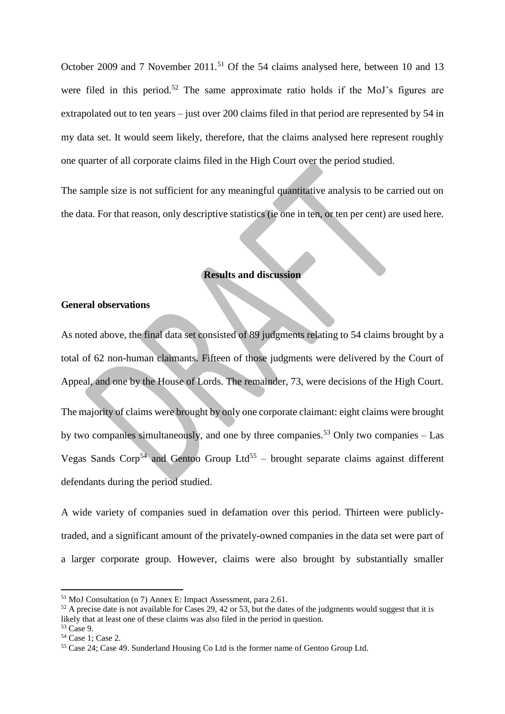October 2009 and 7 November 2011.<sup>51</sup> Of the 54 claims analysed here, between 10 and 13 were filed in this period.<sup>52</sup> The same approximate ratio holds if the MoJ's figures are extrapolated out to ten years – just over 200 claims filed in that period are represented by 54 in my data set. It would seem likely, therefore, that the claims analysed here represent roughly one quarter of all corporate claims filed in the High Court over the period studied.

The sample size is not sufficient for any meaningful quantitative analysis to be carried out on the data. For that reason, only descriptive statistics (ie one in ten, or ten per cent) are used here.

#### **Results and discussion**

#### **General observations**

As noted above, the final data set consisted of 89 judgments relating to 54 claims brought by a total of 62 non-human claimants. Fifteen of those judgments were delivered by the Court of Appeal, and one by the House of Lords. The remainder, 73, were decisions of the High Court. The majority of claims were brought by only one corporate claimant: eight claims were brought by two companies simultaneously, and one by three companies.<sup>53</sup> Only two companies – Las Vegas Sands Corp<sup>54</sup> and Gentoo Group Ltd<sup>55</sup> – brought separate claims against different defendants during the period studied.

A wide variety of companies sued in defamation over this period. Thirteen were publiclytraded, and a significant amount of the privately-owned companies in the data set were part of a larger corporate group. However, claims were also brought by substantially smaller

<sup>51</sup> MoJ Consultation (n 7) Annex E: Impact Assessment, para 2.61.

 $52$  A precise date is not available for Cases 29, 42 or 53, but the dates of the judgments would suggest that it is likely that at least one of these claims was also filed in the period in question.

<sup>53</sup> Case 9. <sup>54</sup> Case 1; Case 2.

<sup>55</sup> Case 24; Case 49. Sunderland Housing Co Ltd is the former name of Gentoo Group Ltd.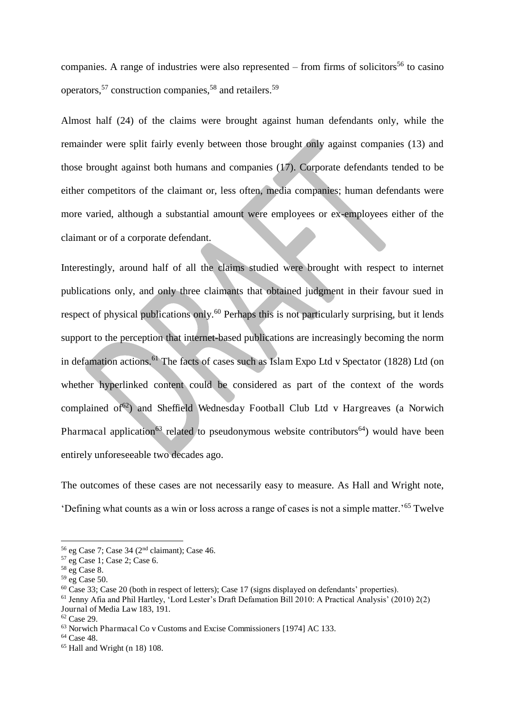companies. A range of industries were also represented – from firms of solicitors<sup>56</sup> to casino operators.<sup>57</sup> construction companies,<sup>58</sup> and retailers.<sup>59</sup>

Almost half (24) of the claims were brought against human defendants only, while the remainder were split fairly evenly between those brought only against companies (13) and those brought against both humans and companies (17). Corporate defendants tended to be either competitors of the claimant or, less often, media companies; human defendants were more varied, although a substantial amount were employees or ex-employees either of the claimant or of a corporate defendant.

Interestingly, around half of all the claims studied were brought with respect to internet publications only, and only three claimants that obtained judgment in their favour sued in respect of physical publications only.<sup>60</sup> Perhaps this is not particularly surprising, but it lends support to the perception that internet-based publications are increasingly becoming the norm in defamation actions.<sup>61</sup> The facts of cases such as Islam Expo Ltd v Spectator (1828) Ltd (on whether hyperlinked content could be considered as part of the context of the words complained of<sup>62</sup>) and Sheffield Wednesday Football Club Ltd v Hargreaves (a Norwich Pharmacal application<sup>63</sup> related to pseudonymous website contributors<sup>64</sup>) would have been entirely unforeseeable two decades ago.

The outcomes of these cases are not necessarily easy to measure. As Hall and Wright note, 'Defining what counts as a win or loss across a range of cases is not a simple matter.'<sup>65</sup> Twelve

 $56$  eg Case 7; Case 34 (2<sup>nd</sup> claimant); Case 46.

<sup>57</sup> eg Case 1; Case 2; Case 6.

<sup>58</sup> eg Case 8.

 $59$  eg Case 50.

 $60 \text{ Case } 33$ ; Case 20 (both in respect of letters); Case 17 (signs displayed on defendants' properties).

<sup>61</sup> Jenny Afia and Phil Hartley, 'Lord Lester's Draft Defamation Bill 2010: A Practical Analysis' (2010) 2(2) Journal of Media Law 183, 191.

<sup>62</sup> Case 29.

<sup>63</sup> Norwich Pharmacal Co v Customs and Excise Commissioners [1974] AC 133.

<sup>64</sup> Case 48.

 $65$  Hall and Wright (n 18) 108.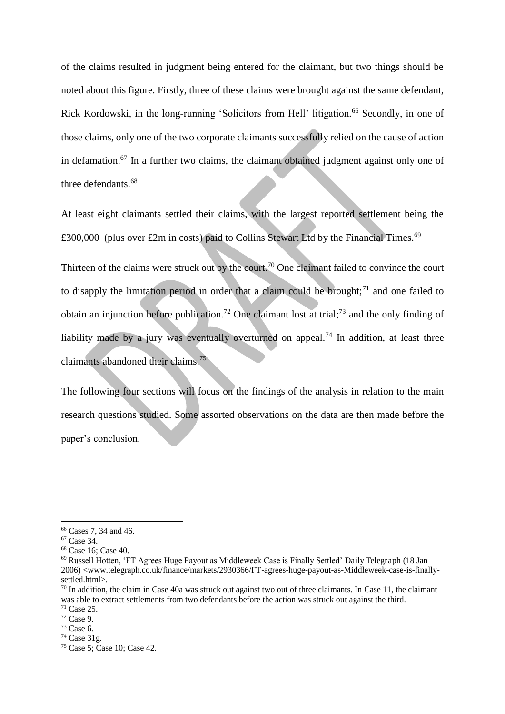of the claims resulted in judgment being entered for the claimant, but two things should be noted about this figure. Firstly, three of these claims were brought against the same defendant, Rick Kordowski, in the long-running 'Solicitors from Hell' litigation.<sup>66</sup> Secondly, in one of those claims, only one of the two corporate claimants successfully relied on the cause of action in defamation.<sup>67</sup> In a further two claims, the claimant obtained judgment against only one of three defendants.<sup>68</sup>

At least eight claimants settled their claims, with the largest reported settlement being the £300,000 (plus over £2m in costs) paid to Collins Stewart Ltd by the Financial Times.<sup>69</sup>

Thirteen of the claims were struck out by the court.<sup>70</sup> One claimant failed to convince the court to disapply the limitation period in order that a claim could be brought; $71$  and one failed to obtain an injunction before publication.<sup>72</sup> One claimant lost at trial;<sup>73</sup> and the only finding of liability made by a jury was eventually overturned on appeal.<sup>74</sup> In addition, at least three claimants abandoned their claims.<sup>75</sup>

The following four sections will focus on the findings of the analysis in relation to the main research questions studied. Some assorted observations on the data are then made before the paper's conclusion.

<sup>66</sup> Cases 7, 34 and 46.

<sup>67</sup> Case 34.

<sup>68</sup> Case 16; Case 40.

<sup>69</sup> Russell Hotten, 'FT Agrees Huge Payout as Middleweek Case is Finally Settled' Daily Telegraph (18 Jan 2006) <www.telegraph.co.uk/finance/markets/2930366/FT-agrees-huge-payout-as-Middleweek-case-is-finallysettled.html>.

 $70$  In addition, the claim in Case 40a was struck out against two out of three claimants. In Case 11, the claimant was able to extract settlements from two defendants before the action was struck out against the third. <sup>71</sup> Case 25.

<sup>72</sup> Case 9.

<sup>73</sup> Case 6.

 $74$  Case 31g.

<sup>75</sup> Case 5; Case 10; Case 42.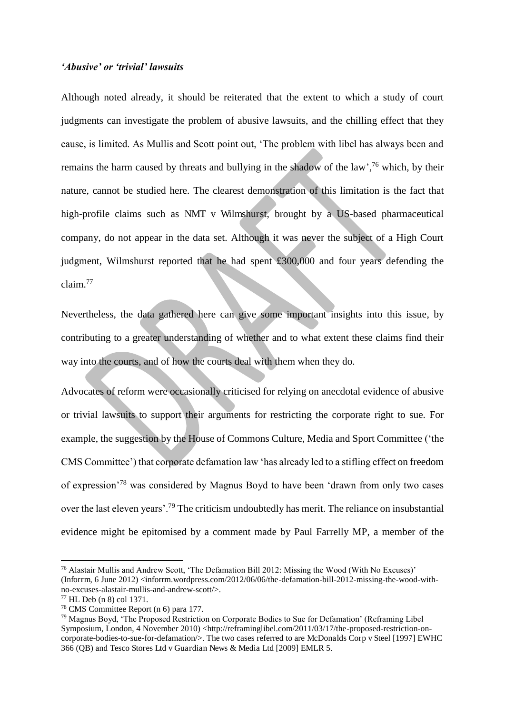#### *'Abusive' or 'trivial' lawsuits*

Although noted already, it should be reiterated that the extent to which a study of court judgments can investigate the problem of abusive lawsuits, and the chilling effect that they cause, is limited. As Mullis and Scott point out, 'The problem with libel has always been and remains the harm caused by threats and bullying in the shadow of the law',<sup>76</sup> which, by their nature, cannot be studied here. The clearest demonstration of this limitation is the fact that high-profile claims such as NMT v Wilmshurst, brought by a US-based pharmaceutical company, do not appear in the data set. Although it was never the subject of a High Court judgment, Wilmshurst reported that he had spent £300,000 and four years defending the claim.<sup>77</sup>

Nevertheless, the data gathered here can give some important insights into this issue, by contributing to a greater understanding of whether and to what extent these claims find their way into the courts, and of how the courts deal with them when they do.

Advocates of reform were occasionally criticised for relying on anecdotal evidence of abusive or trivial lawsuits to support their arguments for restricting the corporate right to sue. For example, the suggestion by the House of Commons Culture, Media and Sport Committee ('the CMS Committee') that corporate defamation law 'has already led to a stifling effect on freedom of expression'<sup>78</sup> was considered by Magnus Boyd to have been 'drawn from only two cases over the last eleven years'.<sup>79</sup> The criticism undoubtedly has merit. The reliance on insubstantial evidence might be epitomised by a comment made by Paul Farrelly MP, a member of the

<sup>76</sup> Alastair Mullis and Andrew Scott, 'The Defamation Bill 2012: Missing the Wood (With No Excuses)' (Inforrm, 6 June 2012)  $\langle$ inforrm.wordpress.com/2012/06/06/the-defamation-bill-2012-missing-the-wood-withno-excuses-alastair-mullis-and-andrew-scott/>.

<sup>77</sup> HL Deb (n 8) col 1371.

<sup>78</sup> CMS Committee Report (n 6) para 177.

<sup>79</sup> Magnus Boyd, 'The Proposed Restriction on Corporate Bodies to Sue for Defamation' (Reframing Libel Symposium, London, 4 November 2010) <http://reframinglibel.com/2011/03/17/the-proposed-restriction-oncorporate-bodies-to-sue-for-defamation/>. The two cases referred to are McDonalds Corp v Steel [1997] EWHC 366 (QB) and Tesco Stores Ltd v Guardian News & Media Ltd [2009] EMLR 5.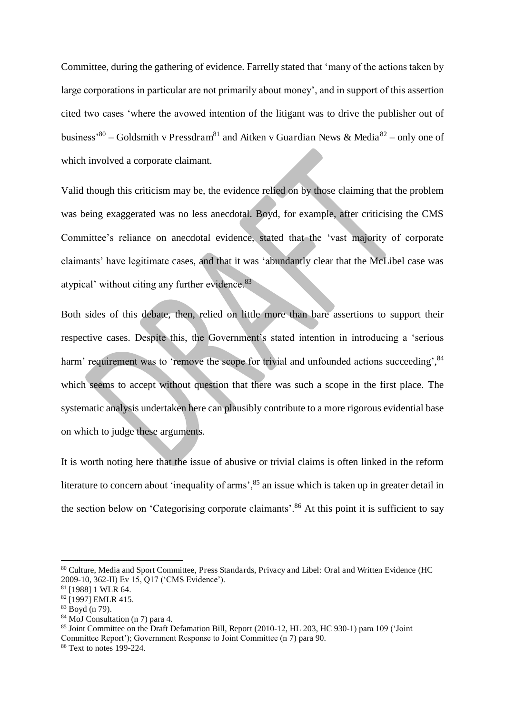Committee, during the gathering of evidence. Farrelly stated that 'many of the actions taken by large corporations in particular are not primarily about money', and in support of this assertion cited two cases 'where the avowed intention of the litigant was to drive the publisher out of business<sup>'80</sup> – Goldsmith v Pressdram<sup>81</sup> and Aitken v Guardian News & Media<sup>82</sup> – only one of which involved a corporate claimant.

Valid though this criticism may be, the evidence relied on by those claiming that the problem was being exaggerated was no less anecdotal. Boyd, for example, after criticising the CMS Committee's reliance on anecdotal evidence, stated that the 'vast majority of corporate claimants' have legitimate cases, and that it was 'abundantly clear that the McLibel case was atypical' without citing any further evidence.<sup>83</sup>

Both sides of this debate, then, relied on little more than bare assertions to support their respective cases. Despite this, the Government's stated intention in introducing a 'serious harm' requirement was to 'remove the scope for trivial and unfounded actions succeeding', 84 which seems to accept without question that there was such a scope in the first place. The systematic analysis undertaken here can plausibly contribute to a more rigorous evidential base on which to judge these arguments.

It is worth noting here that the issue of abusive or trivial claims is often linked in the reform literature to concern about 'inequality of arms', <sup>85</sup> an issue which is taken up in greater detail in the section below on 'Categorising corporate claimants'.<sup>86</sup> At this point it is sufficient to say

<sup>80</sup> Culture, Media and Sport Committee, Press Standards, Privacy and Libel: Oral and Written Evidence (HC 2009-10, 362-II) Ev 15, Q17 ('CMS Evidence').

 $81$  [1988] 1 WLR 64.

 $82$  [1997] EMLR 415.

 $83$  Boyd (n 79).

<sup>84</sup> MoJ Consultation (n 7) para 4.

<sup>85</sup> Joint Committee on the Draft Defamation Bill, Report (2010-12, HL 203, HC 930-1) para 109 ('Joint Committee Report'); Government Response to Joint Committee (n 7) para 90.

<sup>86</sup> Text to notes 199-224.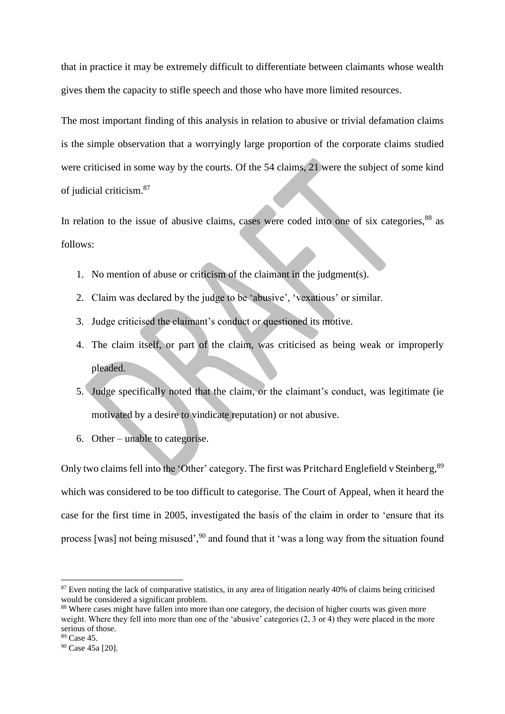that in practice it may be extremely difficult to differentiate between claimants whose wealth gives them the capacity to stifle speech and those who have more limited resources.

The most important finding of this analysis in relation to abusive or trivial defamation claims is the simple observation that a worryingly large proportion of the corporate claims studied were criticised in some way by the courts. Of the 54 claims, 21 were the subject of some kind of judicial criticism.<sup>87</sup>

In relation to the issue of abusive claims, cases were coded into one of six categories, $88$  as follows:

- 1. No mention of abuse or criticism of the claimant in the judgment(s).
- 2. Claim was declared by the judge to be 'abusive', 'vexatious' or similar.
- 3. Judge criticised the claimant's conduct or questioned its motive.
- 4. The claim itself, or part of the claim, was criticised as being weak or improperly pleaded.
- 5. Judge specifically noted that the claim, or the claimant's conduct, was legitimate (ie motivated by a desire to vindicate reputation) or not abusive.
- 6. Other unable to categorise.

Only two claims fell into the 'Other' category. The first was Pritchard Englefield v Steinberg, <sup>89</sup> which was considered to be too difficult to categorise. The Court of Appeal, when it heard the case for the first time in 2005, investigated the basis of the claim in order to 'ensure that its process [was] not being misused',<sup>90</sup> and found that it 'was a long way from the situation found

 $87$  Even noting the lack of comparative statistics, in any area of litigation nearly 40% of claims being criticised would be considered a significant problem.

<sup>&</sup>lt;sup>88</sup> Where cases might have fallen into more than one category, the decision of higher courts was given more weight. Where they fell into more than one of the 'abusive' categories (2, 3 or 4) they were placed in the more serious of those.

<sup>89</sup> Case 45.

<sup>90</sup> Case 45a [20].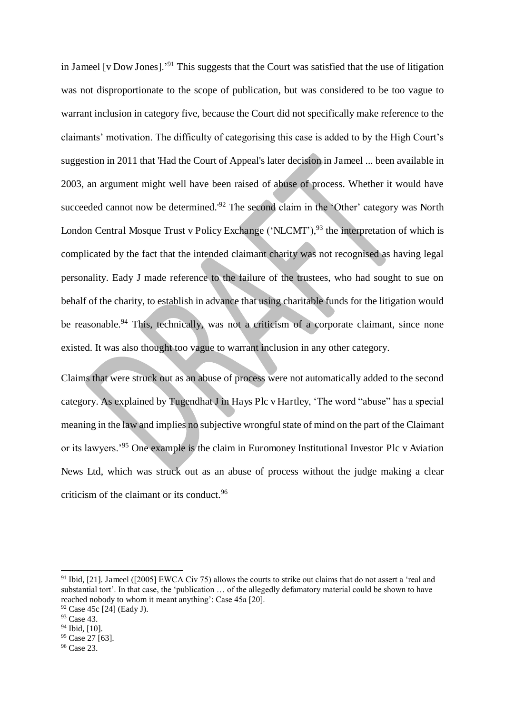in Jameel [v Dow Jones].'<sup>91</sup> This suggests that the Court was satisfied that the use of litigation was not disproportionate to the scope of publication, but was considered to be too vague to warrant inclusion in category five, because the Court did not specifically make reference to the claimants' motivation. The difficulty of categorising this case is added to by the High Court's suggestion in 2011 that 'Had the Court of Appeal's later decision in Jameel ... been available in 2003, an argument might well have been raised of abuse of process. Whether it would have succeeded cannot now be determined.'<sup>92</sup> The second claim in the 'Other' category was North London Central Mosque Trust v Policy Exchange ('NLCMT'),<sup>93</sup> the interpretation of which is complicated by the fact that the intended claimant charity was not recognised as having legal personality. Eady J made reference to the failure of the trustees, who had sought to sue on behalf of the charity, to establish in advance that using charitable funds for the litigation would be reasonable.<sup>94</sup> This, technically, was not a criticism of a corporate claimant, since none existed. It was also thought too vague to warrant inclusion in any other category.

Claims that were struck out as an abuse of process were not automatically added to the second category. As explained by Tugendhat J in Hays Plc v Hartley, 'The word "abuse" has a special meaning in the law and implies no subjective wrongful state of mind on the part of the Claimant or its lawyers.'<sup>95</sup> One example is the claim in Euromoney Institutional Investor Plc v Aviation News Ltd, which was struck out as an abuse of process without the judge making a clear criticism of the claimant or its conduct.<sup>96</sup>

<sup>&</sup>lt;sup>91</sup> Ibid, [21]. Jameel ([2005] EWCA Civ 75) allows the courts to strike out claims that do not assert a 'real and substantial tort'. In that case, the 'publication … of the allegedly defamatory material could be shown to have reached nobody to whom it meant anything': Case 45a [20].

 $92$  Case 45c [24] (Eady J).

<sup>93</sup> Case 43.

<sup>94</sup> Ibid, [10].

<sup>&</sup>lt;sup>95</sup> Case 27 [63].

<sup>96</sup> Case 23.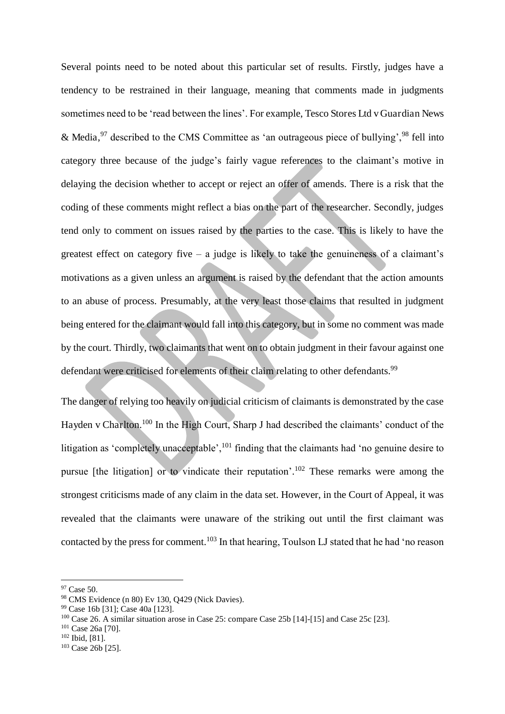Several points need to be noted about this particular set of results. Firstly, judges have a tendency to be restrained in their language, meaning that comments made in judgments sometimes need to be 'read between the lines'. For example, Tesco Stores Ltd v Guardian News & Media,  $97$  described to the CMS Committee as 'an outrageous piece of bullying',  $98$  fell into category three because of the judge's fairly vague references to the claimant's motive in delaying the decision whether to accept or reject an offer of amends. There is a risk that the coding of these comments might reflect a bias on the part of the researcher. Secondly, judges tend only to comment on issues raised by the parties to the case. This is likely to have the greatest effect on category five – a judge is likely to take the genuineness of a claimant's motivations as a given unless an argument is raised by the defendant that the action amounts to an abuse of process. Presumably, at the very least those claims that resulted in judgment being entered for the claimant would fall into this category, but in some no comment was made by the court. Thirdly, two claimants that went on to obtain judgment in their favour against one defendant were criticised for elements of their claim relating to other defendants.<sup>99</sup>

The danger of relying too heavily on judicial criticism of claimants is demonstrated by the case Hayden v Charlton.<sup>100</sup> In the High Court, Sharp J had described the claimants' conduct of the litigation as 'completely unacceptable', <sup>101</sup> finding that the claimants had 'no genuine desire to pursue [the litigation] or to vindicate their reputation'. <sup>102</sup> These remarks were among the strongest criticisms made of any claim in the data set. However, in the Court of Appeal, it was revealed that the claimants were unaware of the striking out until the first claimant was contacted by the press for comment.<sup>103</sup> In that hearing, Toulson LJ stated that he had 'no reason

<sup>97</sup> Case 50.

<sup>98</sup> CMS Evidence (n 80) Ev 130, Q429 (Nick Davies).

<sup>99</sup> Case 16b [31]; Case 40a [123].

<sup>100</sup> Case 26. A similar situation arose in Case 25: compare Case 25b [14]-[15] and Case 25c [23].

<sup>101</sup> Case 26a [70].

<sup>102</sup> Ibid, [81].

<sup>103</sup> Case 26b [25].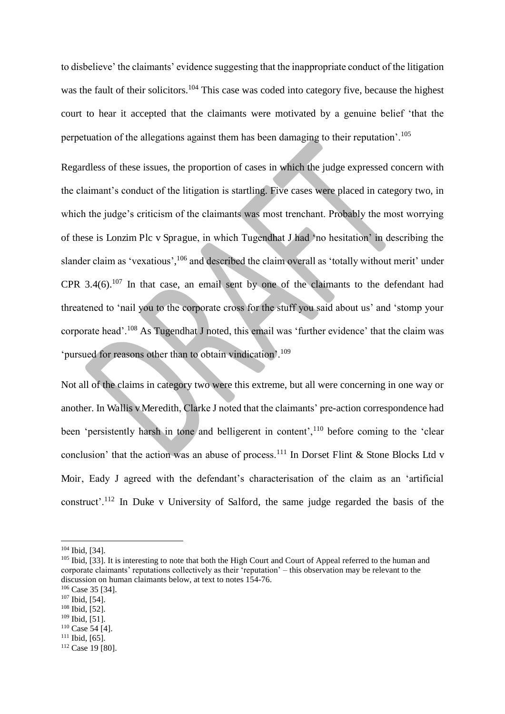to disbelieve' the claimants' evidence suggesting that the inappropriate conduct of the litigation was the fault of their solicitors.<sup>104</sup> This case was coded into category five, because the highest court to hear it accepted that the claimants were motivated by a genuine belief 'that the perpetuation of the allegations against them has been damaging to their reputation'.<sup>105</sup>

Regardless of these issues, the proportion of cases in which the judge expressed concern with the claimant's conduct of the litigation is startling. Five cases were placed in category two, in which the judge's criticism of the claimants was most trenchant. Probably the most worrying of these is Lonzim Plc v Sprague, in which Tugendhat J had 'no hesitation' in describing the slander claim as 'vexatious',<sup>106</sup> and described the claim overall as 'totally without merit' under CPR  $3.4(6)$ .<sup>107</sup> In that case, an email sent by one of the claimants to the defendant had threatened to 'nail you to the corporate cross for the stuff you said about us' and 'stomp your corporate head'.<sup>108</sup> As Tugendhat J noted, this email was 'further evidence' that the claim was 'pursued for reasons other than to obtain vindication'.<sup>109</sup>

Not all of the claims in category two were this extreme, but all were concerning in one way or another. In Wallis v Meredith, Clarke J noted that the claimants' pre-action correspondence had been 'persistently harsh in tone and belligerent in content',<sup>110</sup> before coming to the 'clear conclusion' that the action was an abuse of process.<sup>111</sup> In Dorset Flint & Stone Blocks Ltd v Moir, Eady J agreed with the defendant's characterisation of the claim as an 'artificial construct'.<sup>112</sup> In Duke v University of Salford, the same judge regarded the basis of the

- <sup>106</sup> Case 35 [34].
- <sup>107</sup> Ibid, [54].
- <sup>108</sup> Ibid, [52].
- $109$  Ibid, [51].
- <sup>110</sup> Case 54 [4].
- $111$  Ibid,  $[65]$ .
- 112 Case 19 [80].

<sup>104</sup> Ibid, [34].

<sup>&</sup>lt;sup>105</sup> Ibid, [33]. It is interesting to note that both the High Court and Court of Appeal referred to the human and corporate claimants' reputations collectively as their 'reputation' – this observation may be relevant to the discussion on human claimants below, at text to notes 154-76.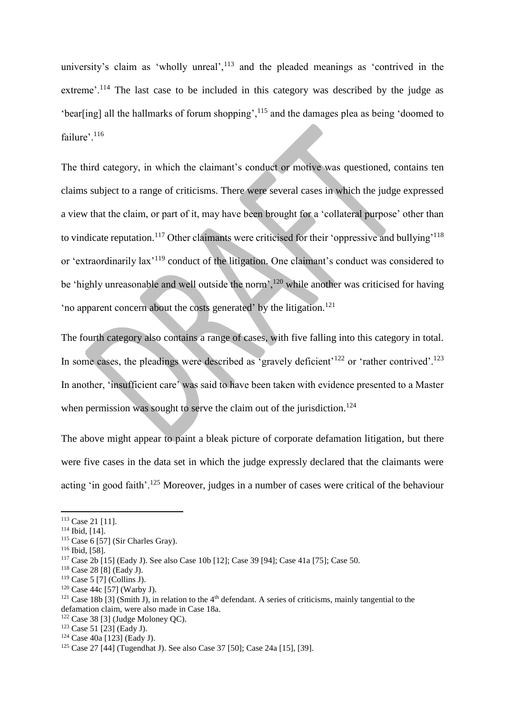university's claim as 'wholly unreal', $<sup>113</sup>$  and the pleaded meanings as 'contrived in the</sup> extreme'.<sup>114</sup> The last case to be included in this category was described by the judge as 'bear[ing] all the hallmarks of forum shopping',<sup>115</sup> and the damages plea as being 'doomed to failure'.<sup>116</sup>

The third category, in which the claimant's conduct or motive was questioned, contains ten claims subject to a range of criticisms. There were several cases in which the judge expressed a view that the claim, or part of it, may have been brought for a 'collateral purpose' other than to vindicate reputation.<sup>117</sup> Other claimants were criticised for their 'oppressive and bullying'<sup>118</sup> or 'extraordinarily lax'<sup>119</sup> conduct of the litigation. One claimant's conduct was considered to be 'highly unreasonable and well outside the norm',<sup>120</sup> while another was criticised for having 'no apparent concern about the costs generated' by the litigation.<sup>121</sup>

The fourth category also contains a range of cases, with five falling into this category in total. In some cases, the pleadings were described as 'gravely deficient'<sup>122</sup> or 'rather contrived'.<sup>123</sup> In another, 'insufficient care' was said to have been taken with evidence presented to a Master when permission was sought to serve the claim out of the jurisdiction.<sup>124</sup>

The above might appear to paint a bleak picture of corporate defamation litigation, but there were five cases in the data set in which the judge expressly declared that the claimants were acting 'in good faith'.<sup>125</sup> Moreover, judges in a number of cases were critical of the behaviour

<sup>&</sup>lt;sup>113</sup> Case 21 [11].

<sup>114</sup> Ibid, [14].

<sup>115</sup> Case 6 [57] (Sir Charles Gray).

<sup>116</sup> Ibid, [58].

<sup>117</sup> Case 2b [15] (Eady J). See also Case 10b [12]; Case 39 [94]; Case 41a [75]; Case 50.

<sup>118</sup> Case 28 [8] (Eady J).

<sup>119</sup> Case 5 [7] (Collins J).

<sup>120</sup> Case 44c [57] (Warby J).

<sup>&</sup>lt;sup>121</sup> Case 18b [3] (Smith J), in relation to the 4<sup>th</sup> defendant. A series of criticisms, mainly tangential to the defamation claim, were also made in Case 18a.

 $122$  Case 38 [3] (Judge Moloney OC).

<sup>123</sup> Case 51 [23] (Eady J).

<sup>124</sup> Case 40a [123] (Eady J).

<sup>125</sup> Case 27 [44] (Tugendhat J). See also Case 37 [50]; Case 24a [15], [39].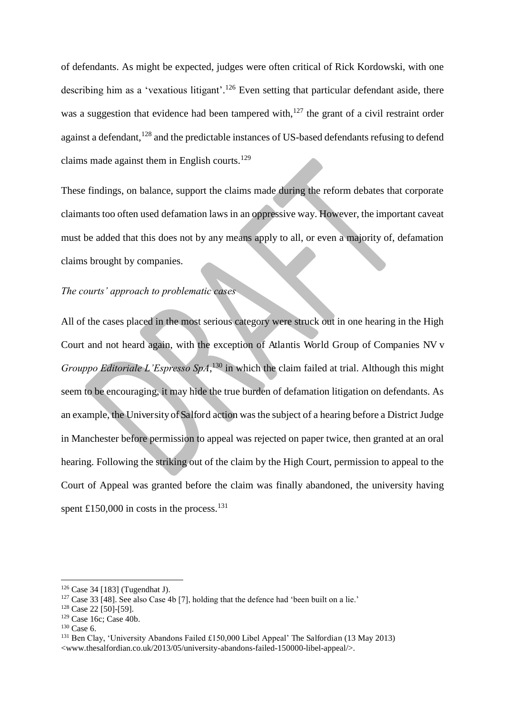of defendants. As might be expected, judges were often critical of Rick Kordowski, with one describing him as a 'vexatious litigant'.<sup>126</sup> Even setting that particular defendant aside, there was a suggestion that evidence had been tampered with, $127$  the grant of a civil restraint order against a defendant,<sup>128</sup> and the predictable instances of US-based defendants refusing to defend claims made against them in English courts.<sup>129</sup>

These findings, on balance, support the claims made during the reform debates that corporate claimants too often used defamation laws in an oppressive way. However, the important caveat must be added that this does not by any means apply to all, or even a majority of, defamation claims brought by companies.

#### *The courts' approach to problematic cases*

All of the cases placed in the most serious category were struck out in one hearing in the High Court and not heard again, with the exception of Atlantis World Group of Companies NV v *Grouppo Editoriale L'Espresso SpA*, <sup>130</sup> in which the claim failed at trial. Although this might seem to be encouraging, it may hide the true burden of defamation litigation on defendants. As an example, the University of Salford action was the subject of a hearing before a District Judge in Manchester before permission to appeal was rejected on paper twice, then granted at an oral hearing. Following the striking out of the claim by the High Court, permission to appeal to the Court of Appeal was granted before the claim was finally abandoned, the university having spent £150,000 in costs in the process.<sup>131</sup>

<sup>126</sup> Case 34 [183] (Tugendhat J).

 $127$  Case 33 [48]. See also Case 4b [7], holding that the defence had 'been built on a lie.'

<sup>128</sup> Case 22 [50]-[59].

 $129$  Case 16c; Case 40b.

<sup>&</sup>lt;sup>130</sup> Case 6.

<sup>&</sup>lt;sup>131</sup> Ben Clay, 'University Abandons Failed £150,000 Libel Appeal' The Salfordian (13 May 2013) <www.thesalfordian.co.uk/2013/05/university-abandons-failed-150000-libel-appeal/>.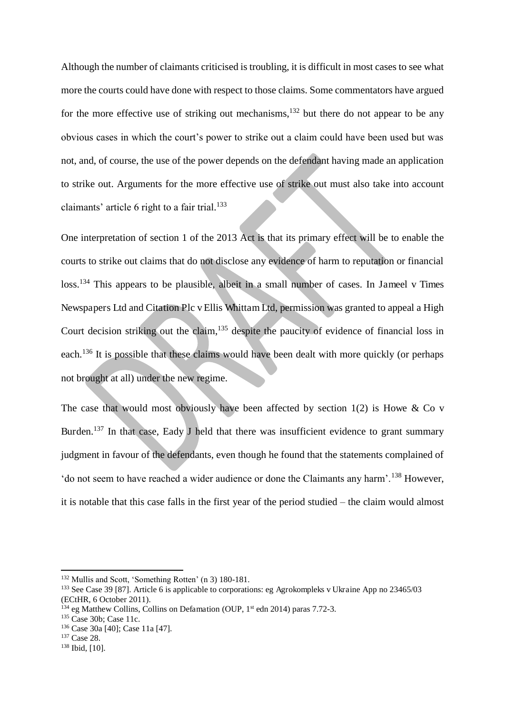Although the number of claimants criticised is troubling, it is difficult in most cases to see what more the courts could have done with respect to those claims. Some commentators have argued for the more effective use of striking out mechanisms,<sup>132</sup> but there do not appear to be any obvious cases in which the court's power to strike out a claim could have been used but was not, and, of course, the use of the power depends on the defendant having made an application to strike out. Arguments for the more effective use of strike out must also take into account claimants' article 6 right to a fair trial. 133

One interpretation of section 1 of the 2013 Act is that its primary effect will be to enable the courts to strike out claims that do not disclose any evidence of harm to reputation or financial loss.<sup>134</sup> This appears to be plausible, albeit in a small number of cases. In Jameel v Times Newspapers Ltd and Citation Plc v Ellis Whittam Ltd, permission was granted to appeal a High Court decision striking out the claim,  $135$  despite the paucity of evidence of financial loss in each.<sup>136</sup> It is possible that these claims would have been dealt with more quickly (or perhaps not brought at all) under the new regime.

The case that would most obviously have been affected by section  $1(2)$  is Howe & Co v Burden.<sup>137</sup> In that case, Eady J held that there was insufficient evidence to grant summary judgment in favour of the defendants, even though he found that the statements complained of 'do not seem to have reached a wider audience or done the Claimants any harm'.<sup>138</sup> However, it is notable that this case falls in the first year of the period studied – the claim would almost

<sup>132</sup> Mullis and Scott, 'Something Rotten' (n 3) 180-181.

<sup>133</sup> See Case 39 [87]. Article 6 is applicable to corporations: eg Agrokompleks v Ukraine App no 23465/03 (ECtHR, 6 October 2011).

 $^{134}$  eg Matthew Collins, Collins on Defamation (OUP,  $1<sup>st</sup>$  edn 2014) paras 7.72-3.

<sup>&</sup>lt;sup>135</sup> Case 30b: Case 11c.

<sup>136</sup> Case 30a [40]; Case 11a [47].

<sup>137</sup> Case 28.

<sup>138</sup> Ibid, [10].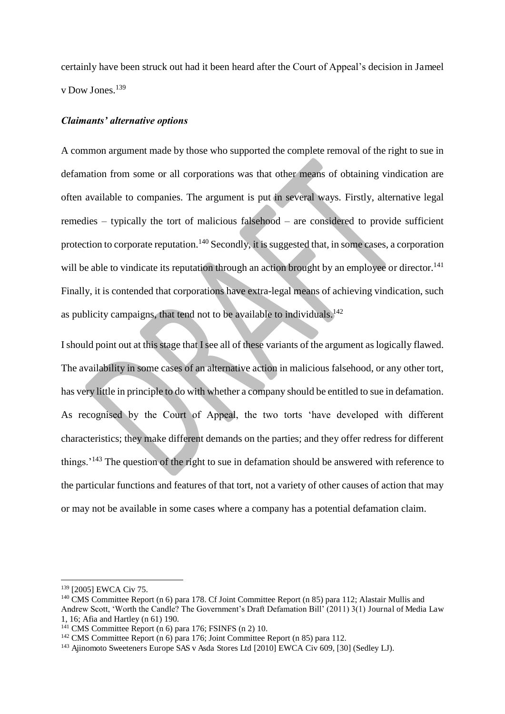certainly have been struck out had it been heard after the Court of Appeal's decision in Jameel v Dow Jones.<sup>139</sup>

#### *Claimants' alternative options*

A common argument made by those who supported the complete removal of the right to sue in defamation from some or all corporations was that other means of obtaining vindication are often available to companies. The argument is put in several ways. Firstly, alternative legal remedies – typically the tort of malicious falsehood – are considered to provide sufficient protection to corporate reputation.<sup>140</sup> Secondly, it is suggested that, in some cases, a corporation will be able to vindicate its reputation through an action brought by an employee or director.<sup>141</sup> Finally, it is contended that corporations have extra-legal means of achieving vindication, such as publicity campaigns, that tend not to be available to individuals.<sup>142</sup>

I should point out at this stage that I see all of these variants of the argument as logically flawed. The availability in some cases of an alternative action in malicious falsehood, or any other tort, has very little in principle to do with whether a company should be entitled to sue in defamation. As recognised by the Court of Appeal, the two torts 'have developed with different characteristics; they make different demands on the parties; and they offer redress for different things.<sup>143</sup> The question of the right to sue in defamation should be answered with reference to the particular functions and features of that tort, not a variety of other causes of action that may or may not be available in some cases where a company has a potential defamation claim.

<sup>139</sup> [2005] EWCA Civ 75.

<sup>&</sup>lt;sup>140</sup> CMS Committee Report (n 6) para 178. Cf Joint Committee Report (n 85) para 112; Alastair Mullis and Andrew Scott, 'Worth the Candle? The Government's Draft Defamation Bill' (2011) 3(1) Journal of Media Law 1, 16; Afia and Hartley (n 61) 190.

<sup>&</sup>lt;sup>141</sup> CMS Committee Report (n  $6$ ) para 176; FSINFS (n 2) 10.

<sup>&</sup>lt;sup>142</sup> CMS Committee Report (n 6) para 176; Joint Committee Report (n 85) para 112.

<sup>&</sup>lt;sup>143</sup> Ajinomoto Sweeteners Europe SAS v Asda Stores Ltd [2010] EWCA Civ 609, [30] (Sedley LJ).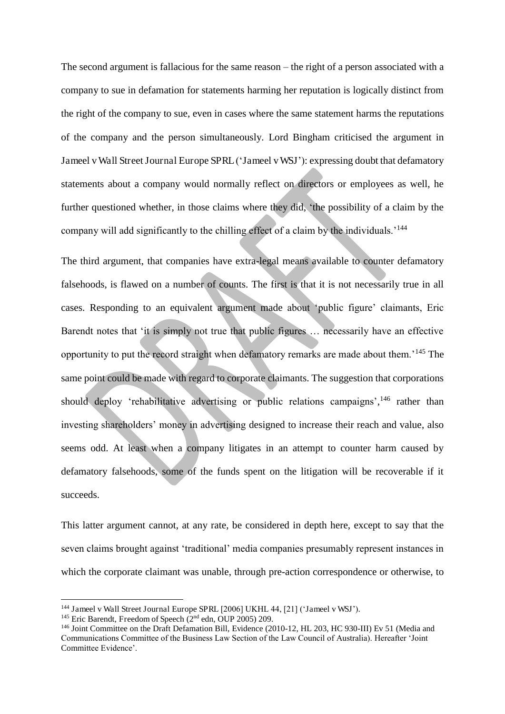The second argument is fallacious for the same reason – the right of a person associated with a company to sue in defamation for statements harming her reputation is logically distinct from the right of the company to sue, even in cases where the same statement harms the reputations of the company and the person simultaneously. Lord Bingham criticised the argument in Jameel v Wall Street Journal Europe SPRL ('Jameel v WSJ'): expressing doubt that defamatory statements about a company would normally reflect on directors or employees as well, he further questioned whether, in those claims where they did, 'the possibility of a claim by the company will add significantly to the chilling effect of a claim by the individuals.<sup>'144</sup>

The third argument, that companies have extra-legal means available to counter defamatory falsehoods, is flawed on a number of counts. The first is that it is not necessarily true in all cases. Responding to an equivalent argument made about 'public figure' claimants, Eric Barendt notes that 'it is simply not true that public figures … necessarily have an effective opportunity to put the record straight when defamatory remarks are made about them.'<sup>145</sup> The same point could be made with regard to corporate claimants. The suggestion that corporations should deploy 'rehabilitative advertising or public relations campaigns',<sup>146</sup> rather than investing shareholders' money in advertising designed to increase their reach and value, also seems odd. At least when a company litigates in an attempt to counter harm caused by defamatory falsehoods, some of the funds spent on the litigation will be recoverable if it succeeds.

This latter argument cannot, at any rate, be considered in depth here, except to say that the seven claims brought against 'traditional' media companies presumably represent instances in which the corporate claimant was unable, through pre-action correspondence or otherwise, to

<sup>144</sup> Jameel v Wall Street Journal Europe SPRL [2006] UKHL 44, [21] ('Jameel v WSJ').

<sup>&</sup>lt;sup>145</sup> Eric Barendt, Freedom of Speech ( $2<sup>nd</sup>$  edn, OUP 2005) 209.

<sup>146</sup> Joint Committee on the Draft Defamation Bill, Evidence (2010-12, HL 203, HC 930-III) Ev 51 (Media and Communications Committee of the Business Law Section of the Law Council of Australia). Hereafter 'Joint Committee Evidence'.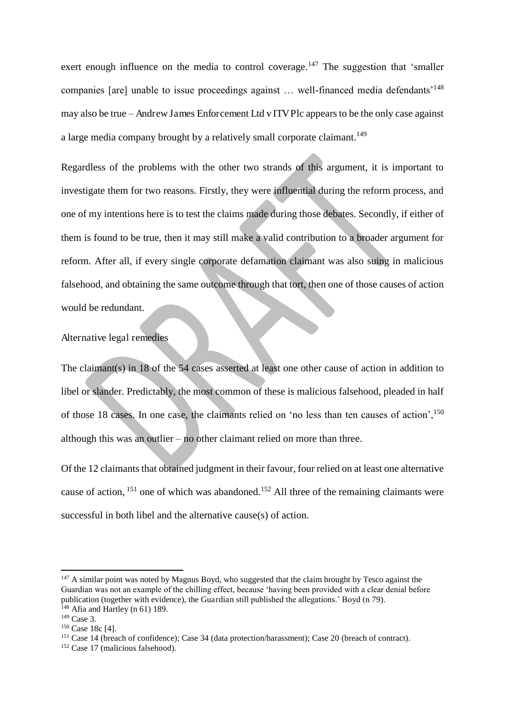exert enough influence on the media to control coverage.<sup>147</sup> The suggestion that 'smaller companies [are] unable to issue proceedings against ... well-financed media defendants<sup>'148</sup> may also be true – Andrew James Enforcement Ltd v ITV Plc appears to be the only case against a large media company brought by a relatively small corporate claimant.<sup>149</sup>

Regardless of the problems with the other two strands of this argument, it is important to investigate them for two reasons. Firstly, they were influential during the reform process, and one of my intentions here is to test the claims made during those debates. Secondly, if either of them is found to be true, then it may still make a valid contribution to a broader argument for reform. After all, if every single corporate defamation claimant was also suing in malicious falsehood, and obtaining the same outcome through that tort, then one of those causes of action would be redundant.

#### Alternative legal remedies

The claimant(s) in 18 of the 54 cases asserted at least one other cause of action in addition to libel or slander. Predictably, the most common of these is malicious falsehood, pleaded in half of those 18 cases. In one case, the claimants relied on 'no less than ten causes of action', <sup>150</sup> although this was an outlier – no other claimant relied on more than three.

Of the 12 claimants that obtained judgment in their favour, four relied on at least one alternative cause of action,  $^{151}$  one of which was abandoned.<sup>152</sup> All three of the remaining claimants were successful in both libel and the alternative cause(s) of action.

 $147$  A similar point was noted by Magnus Boyd, who suggested that the claim brought by Tesco against the Guardian was not an example of the chilling effect, because 'having been provided with a clear denial before publication (together with evidence), the Guardian still published the allegations.' Boyd (n 79). <sup>148</sup> Afia and Hartley (n 61) 189.

<sup>&</sup>lt;sup>149</sup> Case 3.

<sup>&</sup>lt;sup>150</sup> Case 18c [4].

<sup>151</sup> Case 14 (breach of confidence); Case 34 (data protection/harassment); Case 20 (breach of contract).

<sup>152</sup> Case 17 (malicious falsehood).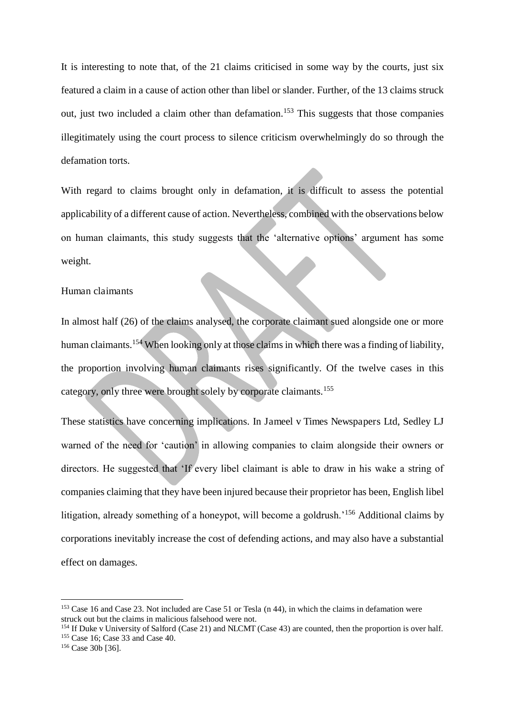It is interesting to note that, of the 21 claims criticised in some way by the courts, just six featured a claim in a cause of action other than libel or slander. Further, of the 13 claims struck out, just two included a claim other than defamation.<sup>153</sup> This suggests that those companies illegitimately using the court process to silence criticism overwhelmingly do so through the defamation torts.

With regard to claims brought only in defamation, it is difficult to assess the potential applicability of a different cause of action. Nevertheless, combined with the observations below on human claimants, this study suggests that the 'alternative options' argument has some weight.

#### Human claimants

In almost half (26) of the claims analysed, the corporate claimant sued alongside one or more human claimants.<sup>154</sup> When looking only at those claims in which there was a finding of liability, the proportion involving human claimants rises significantly. Of the twelve cases in this category, only three were brought solely by corporate claimants.<sup>155</sup>

These statistics have concerning implications. In Jameel v Times Newspapers Ltd, Sedley LJ warned of the need for 'caution' in allowing companies to claim alongside their owners or directors. He suggested that 'If every libel claimant is able to draw in his wake a string of companies claiming that they have been injured because their proprietor has been, English libel litigation, already something of a honeypot, will become a goldrush.<sup>156</sup> Additional claims by corporations inevitably increase the cost of defending actions, and may also have a substantial effect on damages.

<sup>153</sup> Case 16 and Case 23. Not included are Case 51 or Tesla (n 44), in which the claims in defamation were struck out but the claims in malicious falsehood were not.

<sup>&</sup>lt;sup>154</sup> If Duke v University of Salford (Case 21) and NLCMT (Case 43) are counted, then the proportion is over half. <sup>155</sup> Case 16; Case 33 and Case 40.

<sup>156</sup> Case 30b [36].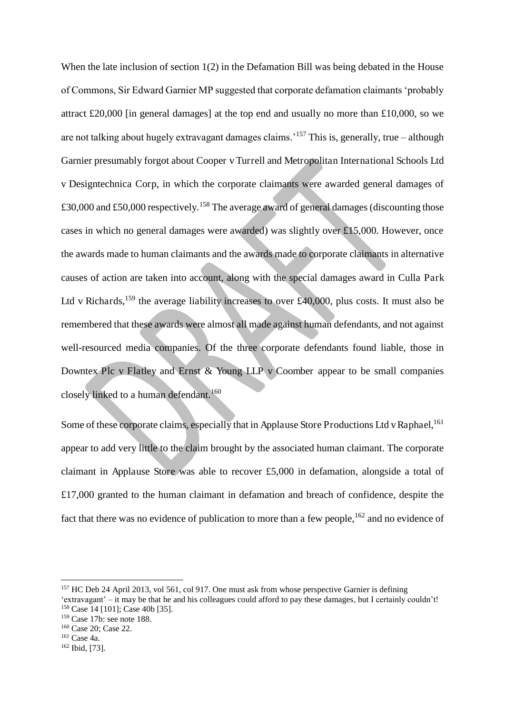When the late inclusion of section 1(2) in the Defamation Bill was being debated in the House of Commons, Sir Edward Garnier MP suggested that corporate defamation claimants 'probably attract £20,000 [in general damages] at the top end and usually no more than £10,000, so we are not talking about hugely extravagant damages claims.<sup>'157</sup> This is, generally, true – although Garnier presumably forgot about Cooper v Turrell and Metropolitan International Schools Ltd v Designtechnica Corp, in which the corporate claimants were awarded general damages of  $\pounds30,000$  and  $\pounds50,000$  respectively.<sup>158</sup> The average award of general damages (discounting those cases in which no general damages were awarded) was slightly over £15,000. However, once the awards made to human claimants and the awards made to corporate claimants in alternative causes of action are taken into account, along with the special damages award in Culla Park Ltd v Richards,<sup>159</sup> the average liability increases to over £40,000, plus costs. It must also be remembered that these awards were almost all made against human defendants, and not against well-resourced media companies. Of the three corporate defendants found liable, those in Downtex Plc v Flatley and Ernst  $\&$  Young LLP v Coomber appear to be small companies closely linked to a human defendant.<sup>160</sup>

Some of these corporate claims, especially that in Applause Store Productions Ltd v Raphael,<sup>161</sup> appear to add very little to the claim brought by the associated human claimant. The corporate claimant in Applause Store was able to recover £5,000 in defamation, alongside a total of £17,000 granted to the human claimant in defamation and breach of confidence, despite the fact that there was no evidence of publication to more than a few people,<sup>162</sup> and no evidence of

<sup>&</sup>lt;sup>157</sup> HC Deb 24 April 2013, vol 561, col 917. One must ask from whose perspective Garnier is defining 'extravagant' – it may be that he and his colleagues could afford to pay these damages, but I certainly couldn't! <sup>158</sup> Case 14 [101]; Case 40b [35].

<sup>159</sup> Case 17b: see note 188.

<sup>160</sup> Case 20; Case 22.

<sup>161</sup> Case 4a.

<sup>162</sup> Ibid, [73].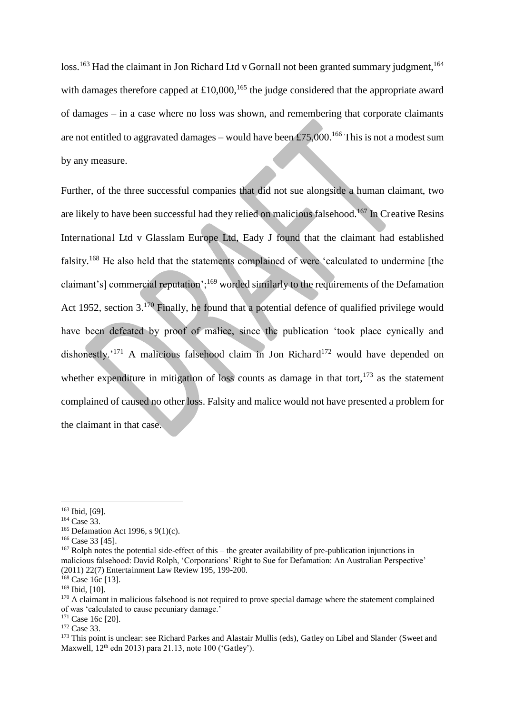loss.<sup>163</sup> Had the claimant in Jon Richard Ltd v Gornall not been granted summary judgment.<sup>164</sup> with damages therefore capped at  $\pounds 10,000$ , <sup>165</sup> the judge considered that the appropriate award of damages – in a case where no loss was shown, and remembering that corporate claimants are not entitled to aggravated damages – would have been £75,000.<sup>166</sup> This is not a modest sum by any measure.

Further, of the three successful companies that did not sue alongside a human claimant, two are likely to have been successful had they relied on malicious falsehood.<sup>167</sup> In Creative Resins International Ltd v Glasslam Europe Ltd, Eady J found that the claimant had established falsity.<sup>168</sup> He also held that the statements complained of were 'calculated to undermine [the claimant's] commercial reputation';<sup>169</sup> worded similarly to the requirements of the Defamation Act 1952, section 3.<sup>170</sup> Finally, he found that a potential defence of qualified privilege would have been defeated by proof of malice, since the publication 'took place cynically and dishonestly.<sup>'171</sup> A malicious falsehood claim in Jon Richard<sup>172</sup> would have depended on whether expenditure in mitigation of loss counts as damage in that tort, $173$  as the statement complained of caused no other loss. Falsity and malice would not have presented a problem for the claimant in that case.

 $\overline{a}$ 

<sup>171</sup> Case 16c [20].

<sup>172</sup> Case 33.

<sup>173</sup> This point is unclear: see Richard Parkes and Alastair Mullis (eds), Gatley on Libel and Slander (Sweet and Maxwell,  $12<sup>th</sup>$  edn 2013) para 21.13, note 100 ('Gatley').

<sup>163</sup> Ibid, [69].

<sup>164</sup> Case 33.

<sup>&</sup>lt;sup>165</sup> Defamation Act 1996, s  $9(1)(c)$ .

<sup>&</sup>lt;sup>166</sup> Case 33 [45].

<sup>167</sup> Rolph notes the potential side-effect of this – the greater availability of pre-publication injunctions in malicious falsehood: David Rolph, 'Corporations' Right to Sue for Defamation: An Australian Perspective' (2011) 22(7) Entertainment Law Review 195, 199-200.

<sup>&</sup>lt;sup>168</sup> Case 16c [13].

<sup>169</sup> Ibid, [10].

<sup>&</sup>lt;sup>170</sup> A claimant in malicious falsehood is not required to prove special damage where the statement complained of was 'calculated to cause pecuniary damage.'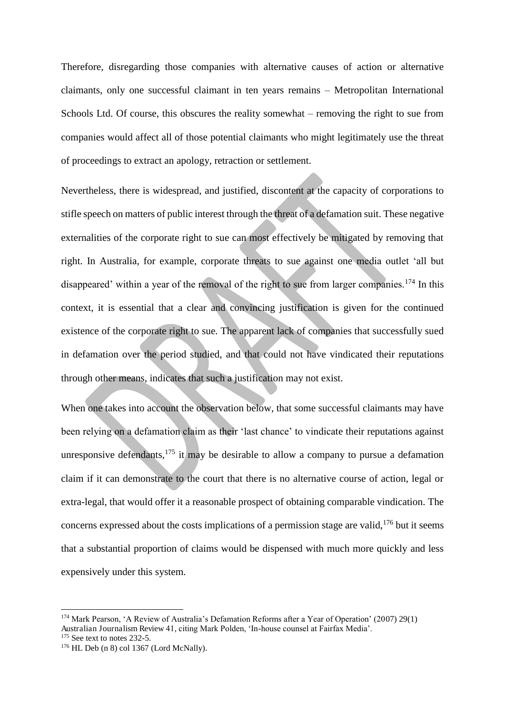Therefore, disregarding those companies with alternative causes of action or alternative claimants, only one successful claimant in ten years remains – Metropolitan International Schools Ltd. Of course, this obscures the reality somewhat – removing the right to sue from companies would affect all of those potential claimants who might legitimately use the threat of proceedings to extract an apology, retraction or settlement.

Nevertheless, there is widespread, and justified, discontent at the capacity of corporations to stifle speech on matters of public interest through the threat of a defamation suit. These negative externalities of the corporate right to sue can most effectively be mitigated by removing that right. In Australia, for example, corporate threats to sue against one media outlet 'all but disappeared' within a year of the removal of the right to sue from larger companies.<sup>174</sup> In this context, it is essential that a clear and convincing justification is given for the continued existence of the corporate right to sue. The apparent lack of companies that successfully sued in defamation over the period studied, and that could not have vindicated their reputations through other means, indicates that such a justification may not exist.

When one takes into account the observation below, that some successful claimants may have been relying on a defamation claim as their 'last chance' to vindicate their reputations against unresponsive defendants,  $175$  it may be desirable to allow a company to pursue a defamation claim if it can demonstrate to the court that there is no alternative course of action, legal or extra-legal, that would offer it a reasonable prospect of obtaining comparable vindication. The concerns expressed about the costs implications of a permission stage are valid.<sup>176</sup> but it seems that a substantial proportion of claims would be dispensed with much more quickly and less expensively under this system.

<sup>174</sup> Mark Pearson, 'A Review of Australia's Defamation Reforms after a Year of Operation' (2007) 29(1) Australian Journalism Review 41, citing Mark Polden, 'In-house counsel at Fairfax Media'.

 $175$  See text to notes 232-5.

<sup>176</sup> HL Deb (n 8) col 1367 (Lord McNally).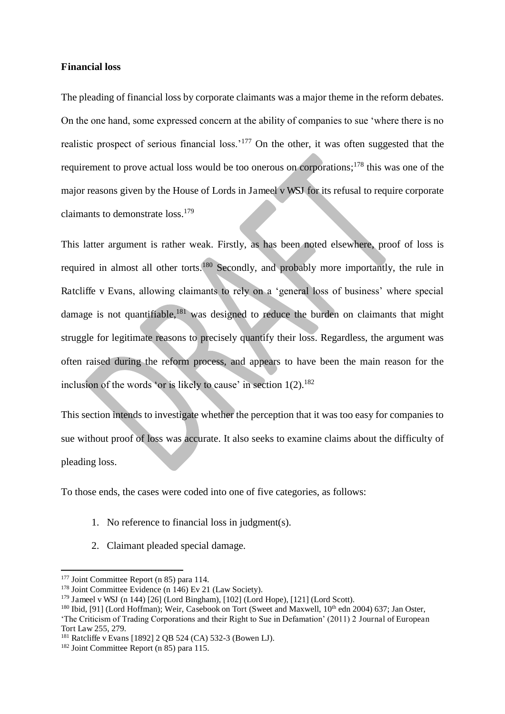#### **Financial loss**

The pleading of financial loss by corporate claimants was a major theme in the reform debates. On the one hand, some expressed concern at the ability of companies to sue 'where there is no realistic prospect of serious financial loss.'<sup>177</sup> On the other, it was often suggested that the requirement to prove actual loss would be too onerous on corporations;<sup>178</sup> this was one of the major reasons given by the House of Lords in Jameel v WSJ for its refusal to require corporate claimants to demonstrate loss.<sup>179</sup>

This latter argument is rather weak. Firstly, as has been noted elsewhere, proof of loss is required in almost all other torts.<sup>180</sup> Secondly, and probably more importantly, the rule in Ratcliffe v Evans, allowing claimants to rely on a 'general loss of business' where special damage is not quantifiable, $181$  was designed to reduce the burden on claimants that might struggle for legitimate reasons to precisely quantify their loss. Regardless, the argument was often raised during the reform process, and appears to have been the main reason for the inclusion of the words 'or is likely to cause' in section  $1(2)$ .<sup>182</sup>

This section intends to investigate whether the perception that it was too easy for companies to sue without proof of loss was accurate. It also seeks to examine claims about the difficulty of pleading loss.

To those ends, the cases were coded into one of five categories, as follows:

- 1. No reference to financial loss in judgment(s).
- 2. Claimant pleaded special damage.

<sup>&</sup>lt;sup>177</sup> Joint Committee Report (n 85) para 114.

<sup>&</sup>lt;sup>178</sup> Joint Committee Evidence (n 146) Ev 21 (Law Society).

 $179$  Jameel v WSJ (n 144) [26] (Lord Bingham), [102] (Lord Hope), [121] (Lord Scott).

<sup>&</sup>lt;sup>180</sup> Ibid, [91] (Lord Hoffman); Weir, Casebook on Tort (Sweet and Maxwell, 10<sup>th</sup> edn 2004) 637; Jan Oster, 'The Criticism of Trading Corporations and their Right to Sue in Defamation' (2011) 2 Journal of European Tort Law 255, 279.

<sup>181</sup> Ratcliffe v Evans [1892] 2 QB 524 (CA) 532-3 (Bowen LJ).

<sup>182</sup> Joint Committee Report (n 85) para 115.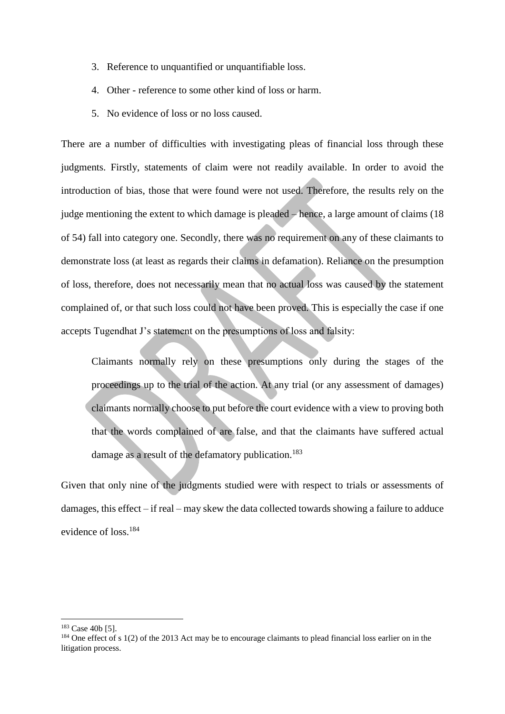- 3. Reference to unquantified or unquantifiable loss.
- 4. Other reference to some other kind of loss or harm.
- 5. No evidence of loss or no loss caused.

There are a number of difficulties with investigating pleas of financial loss through these judgments. Firstly, statements of claim were not readily available. In order to avoid the introduction of bias, those that were found were not used. Therefore, the results rely on the judge mentioning the extent to which damage is pleaded – hence, a large amount of claims (18 of 54) fall into category one. Secondly, there was no requirement on any of these claimants to demonstrate loss (at least as regards their claims in defamation). Reliance on the presumption of loss, therefore, does not necessarily mean that no actual loss was caused by the statement complained of, or that such loss could not have been proved. This is especially the case if one accepts Tugendhat J's statement on the presumptions of loss and falsity:

Claimants normally rely on these presumptions only during the stages of the proceedings up to the trial of the action. At any trial (or any assessment of damages) claimants normally choose to put before the court evidence with a view to proving both that the words complained of are false, and that the claimants have suffered actual damage as a result of the defamatory publication.<sup>183</sup>

Given that only nine of the judgments studied were with respect to trials or assessments of damages, this effect – if real – may skew the data collected towards showing a failure to adduce evidence of loss.<sup>184</sup>

<sup>183</sup> Case 40b [5].

 $184$  One effect of s 1(2) of the 2013 Act may be to encourage claimants to plead financial loss earlier on in the litigation process.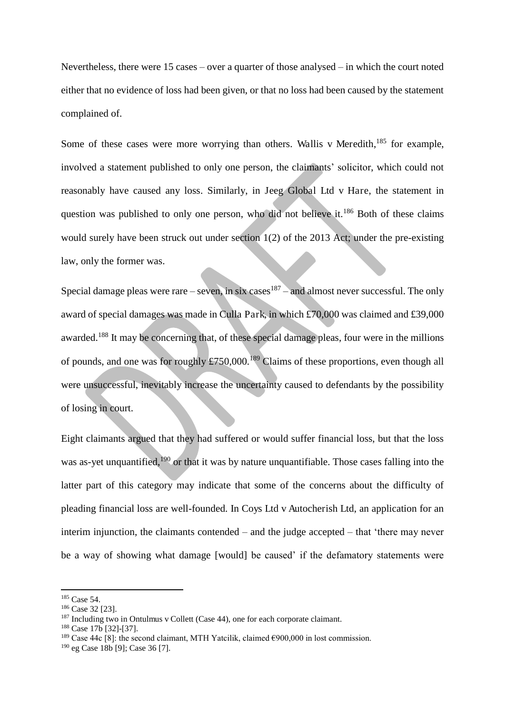Nevertheless, there were 15 cases – over a quarter of those analysed – in which the court noted either that no evidence of loss had been given, or that no loss had been caused by the statement complained of.

Some of these cases were more worrying than others. Wallis v Meredith, $185$  for example, involved a statement published to only one person, the claimants' solicitor, which could not reasonably have caused any loss. Similarly, in Jeeg Global Ltd v Hare, the statement in question was published to only one person, who did not believe it.<sup>186</sup> Both of these claims would surely have been struck out under section 1(2) of the 2013 Act; under the pre-existing law, only the former was.

Special damage pleas were rare – seven, in six cases  $187$  – and almost never successful. The only award of special damages was made in Culla Park, in which £70,000 was claimed and £39,000 awarded.<sup>188</sup> It may be concerning that, of these special damage pleas, four were in the millions of pounds, and one was for roughly  $\pounds 750,000$ .<sup>189</sup> Claims of these proportions, even though all were unsuccessful, inevitably increase the uncertainty caused to defendants by the possibility of losing in court.

Eight claimants argued that they had suffered or would suffer financial loss, but that the loss was as-yet unquantified,<sup>190</sup> or that it was by nature unquantifiable. Those cases falling into the latter part of this category may indicate that some of the concerns about the difficulty of pleading financial loss are well-founded. In Coys Ltd v Autocherish Ltd, an application for an interim injunction, the claimants contended – and the judge accepted – that 'there may never be a way of showing what damage [would] be caused' if the defamatory statements were

<sup>185</sup> Case 54.

<sup>186</sup> Case 32 [23].

<sup>&</sup>lt;sup>187</sup> Including two in Ontulmus v Collett (Case 44), one for each corporate claimant.

<sup>188</sup> Case 17b [32]-[37].

<sup>&</sup>lt;sup>189</sup> Case 44c [8]: the second claimant, MTH Yatcilik, claimed  $\epsilon$ 900,000 in lost commission.

<sup>190</sup> eg Case 18b [9]; Case 36 [7].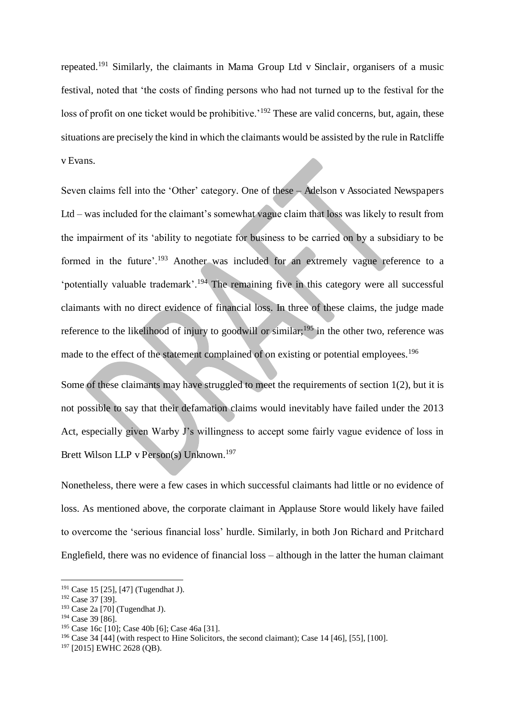repeated.<sup>191</sup> Similarly, the claimants in Mama Group Ltd v Sinclair, organisers of a music festival, noted that 'the costs of finding persons who had not turned up to the festival for the loss of profit on one ticket would be prohibitive.<sup>'192</sup> These are valid concerns, but, again, these situations are precisely the kind in which the claimants would be assisted by the rule in Ratcliffe v Evans.

Seven claims fell into the 'Other' category. One of these – Adelson v Associated Newspapers Ltd – was included for the claimant's somewhat vague claim that loss was likely to result from the impairment of its 'ability to negotiate for business to be carried on by a subsidiary to be formed in the future'.<sup>193</sup> Another was included for an extremely vague reference to a 'potentially valuable trademark'.<sup>194</sup> The remaining five in this category were all successful claimants with no direct evidence of financial loss. In three of these claims, the judge made reference to the likelihood of injury to goodwill or similar;<sup>195</sup> in the other two, reference was made to the effect of the statement complained of on existing or potential employees.<sup>196</sup>

Some of these claimants may have struggled to meet the requirements of section 1(2), but it is not possible to say that their defamation claims would inevitably have failed under the 2013 Act, especially given Warby J's willingness to accept some fairly vague evidence of loss in Brett Wilson LLP v Person(s) Unknown.<sup>197</sup>

Nonetheless, there were a few cases in which successful claimants had little or no evidence of loss. As mentioned above, the corporate claimant in Applause Store would likely have failed to overcome the 'serious financial loss' hurdle. Similarly, in both Jon Richard and Pritchard Englefield, there was no evidence of financial loss – although in the latter the human claimant

<sup>191</sup> Case 15 [25], [47] (Tugendhat J).

<sup>192</sup> Case 37 [39].

 $193$  Case 2a [70] (Tugendhat J).

<sup>194</sup> Case 39 [86].

<sup>195</sup> Case 16c [10]; Case 40b [6]; Case 46a [31].

<sup>196</sup> Case 34 [44] (with respect to Hine Solicitors, the second claimant); Case 14 [46], [55], [100].

<sup>197</sup> [2015] EWHC 2628 (QB).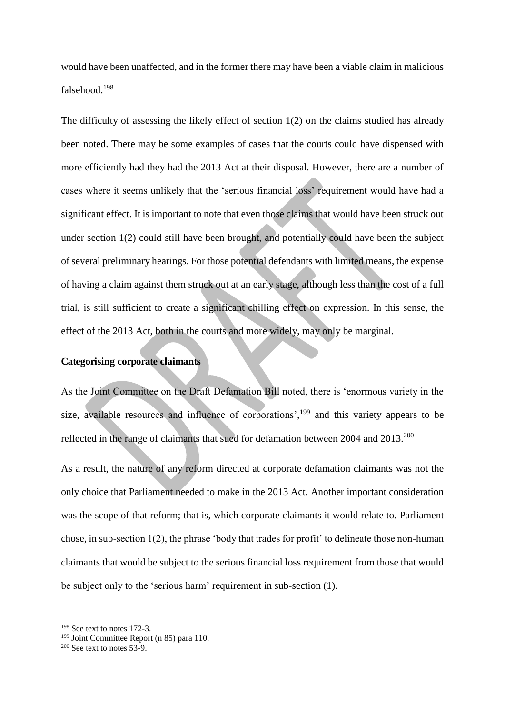would have been unaffected, and in the former there may have been a viable claim in malicious falsehood.<sup>198</sup>

The difficulty of assessing the likely effect of section 1(2) on the claims studied has already been noted. There may be some examples of cases that the courts could have dispensed with more efficiently had they had the 2013 Act at their disposal. However, there are a number of cases where it seems unlikely that the 'serious financial loss' requirement would have had a significant effect. It is important to note that even those claims that would have been struck out under section 1(2) could still have been brought, and potentially could have been the subject of several preliminary hearings. For those potential defendants with limited means, the expense of having a claim against them struck out at an early stage, although less than the cost of a full trial, is still sufficient to create a significant chilling effect on expression. In this sense, the effect of the 2013 Act, both in the courts and more widely, may only be marginal.

#### **Categorising corporate claimants**

As the Joint Committee on the Draft Defamation Bill noted, there is 'enormous variety in the size, available resources and influence of corporations',<sup>199</sup> and this variety appears to be reflected in the range of claimants that sued for defamation between 2004 and 2013.<sup>200</sup>

As a result, the nature of any reform directed at corporate defamation claimants was not the only choice that Parliament needed to make in the 2013 Act. Another important consideration was the scope of that reform; that is, which corporate claimants it would relate to. Parliament chose, in sub-section 1(2), the phrase 'body that trades for profit' to delineate those non-human claimants that would be subject to the serious financial loss requirement from those that would be subject only to the 'serious harm' requirement in sub-section (1).

<sup>198</sup> See text to notes 172-3.

<sup>199</sup> Joint Committee Report (n 85) para 110.

 $200$  See text to notes  $53-9$ .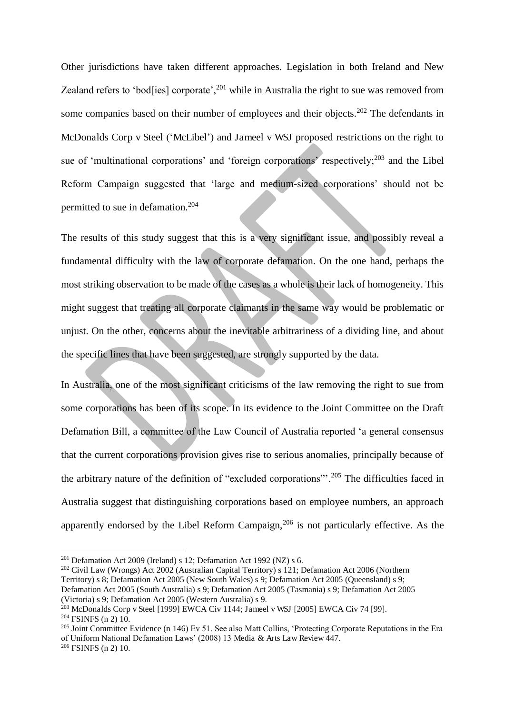Other jurisdictions have taken different approaches. Legislation in both Ireland and New Zealand refers to 'bod[ies] corporate',<sup>201</sup> while in Australia the right to sue was removed from some companies based on their number of employees and their objects.<sup>202</sup> The defendants in McDonalds Corp v Steel ('McLibel') and Jameel v WSJ proposed restrictions on the right to sue of 'multinational corporations' and 'foreign corporations' respectively;<sup>203</sup> and the Libel Reform Campaign suggested that 'large and medium-sized corporations' should not be permitted to sue in defamation.<sup>204</sup>

The results of this study suggest that this is a very significant issue, and possibly reveal a fundamental difficulty with the law of corporate defamation. On the one hand, perhaps the most striking observation to be made of the cases as a whole is their lack of homogeneity. This might suggest that treating all corporate claimants in the same way would be problematic or unjust. On the other, concerns about the inevitable arbitrariness of a dividing line, and about the specific lines that have been suggested, are strongly supported by the data.

In Australia, one of the most significant criticisms of the law removing the right to sue from some corporations has been of its scope. In its evidence to the Joint Committee on the Draft Defamation Bill, a committee of the Law Council of Australia reported 'a general consensus that the current corporations provision gives rise to serious anomalies, principally because of the arbitrary nature of the definition of "excluded corporations"'.<sup>205</sup> The difficulties faced in Australia suggest that distinguishing corporations based on employee numbers, an approach apparently endorsed by the Libel Reform Campaign,  $206$  is not particularly effective. As the

<sup>&</sup>lt;sup>201</sup> Defamation Act 2009 (Ireland) s 12; Defamation Act 1992 (NZ) s 6.

<sup>202</sup> Civil Law (Wrongs) Act 2002 (Australian Capital Territory) s 121; Defamation Act 2006 (Northern Territory) s 8; Defamation Act 2005 (New South Wales) s 9; Defamation Act 2005 (Queensland) s 9; Defamation Act 2005 (South Australia) s 9; Defamation Act 2005 (Tasmania) s 9; Defamation Act 2005 (Victoria) s 9; Defamation Act 2005 (Western Australia) s 9.

<sup>203</sup> McDonalds Corp v Steel [1999] EWCA Civ 1144; Jameel v WSJ [2005] EWCA Civ 74 [99].

<sup>204</sup> FSINFS (n 2) 10.

<sup>&</sup>lt;sup>205</sup> Joint Committee Evidence (n 146) Ev 51. See also Matt Collins, 'Protecting Corporate Reputations in the Era of Uniform National Defamation Laws' (2008) 13 Media & Arts Law Review 447.

<sup>206</sup> FSINFS (n 2) 10.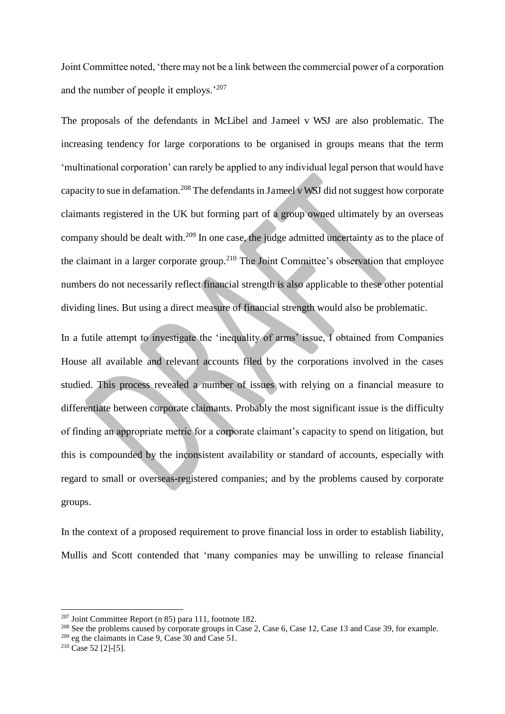Joint Committee noted, 'there may not be a link between the commercial power of a corporation and the number of people it employs.'<sup>207</sup>

The proposals of the defendants in McLibel and Jameel v WSJ are also problematic. The increasing tendency for large corporations to be organised in groups means that the term 'multinational corporation' can rarely be applied to any individual legal person that would have capacity to sue in defamation.<sup>208</sup> The defendants in Jameel v WSJ did not suggest how corporate claimants registered in the UK but forming part of a group owned ultimately by an overseas company should be dealt with.<sup>209</sup> In one case, the judge admitted uncertainty as to the place of the claimant in a larger corporate group.<sup>210</sup> The Joint Committee's observation that employee numbers do not necessarily reflect financial strength is also applicable to these other potential dividing lines. But using a direct measure of financial strength would also be problematic.

In a futile attempt to investigate the 'inequality of arms' issue, I obtained from Companies House all available and relevant accounts filed by the corporations involved in the cases studied. This process revealed a number of issues with relying on a financial measure to differentiate between corporate claimants. Probably the most significant issue is the difficulty of finding an appropriate metric for a corporate claimant's capacity to spend on litigation, but this is compounded by the inconsistent availability or standard of accounts, especially with regard to small or overseas-registered companies; and by the problems caused by corporate groups.

In the context of a proposed requirement to prove financial loss in order to establish liability, Mullis and Scott contended that 'many companies may be unwilling to release financial

<sup>207</sup> Joint Committee Report (n 85) para 111, footnote 182.

<sup>&</sup>lt;sup>208</sup> See the problems caused by corporate groups in Case 2, Case 6, Case 12, Case 13 and Case 39, for example.

 $209$  eg the claimants in Case 9, Case 30 and Case 51.

 $210$  Case 52 [2]-[5].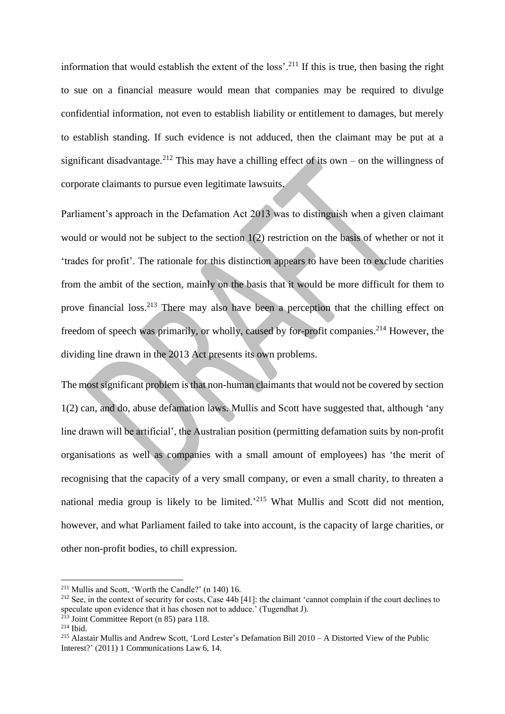information that would establish the extent of the loss'.<sup>211</sup> If this is true, then basing the right to sue on a financial measure would mean that companies may be required to divulge confidential information, not even to establish liability or entitlement to damages, but merely to establish standing. If such evidence is not adduced, then the claimant may be put at a significant disadvantage.<sup>212</sup> This may have a chilling effect of its own – on the willingness of corporate claimants to pursue even legitimate lawsuits.

Parliament's approach in the Defamation Act 2013 was to distinguish when a given claimant would or would not be subject to the section 1(2) restriction on the basis of whether or not it 'trades for profit'. The rationale for this distinction appears to have been to exclude charities from the ambit of the section, mainly on the basis that it would be more difficult for them to prove financial loss.<sup>213</sup> There may also have been a perception that the chilling effect on freedom of speech was primarily, or wholly, caused by for-profit companies.<sup>214</sup> However, the dividing line drawn in the 2013 Act presents its own problems.

The most significant problem is that non-human claimants that would not be covered by section 1(2) can, and do, abuse defamation laws. Mullis and Scott have suggested that, although 'any line drawn will be artificial', the Australian position (permitting defamation suits by non-profit organisations as well as companies with a small amount of employees) has 'the merit of recognising that the capacity of a very small company, or even a small charity, to threaten a national media group is likely to be limited.<sup>215</sup> What Mullis and Scott did not mention, however, and what Parliament failed to take into account, is the capacity of large charities, or other non-profit bodies, to chill expression.

<sup>211</sup> Mullis and Scott, 'Worth the Candle?' (n 140) 16.

<sup>&</sup>lt;sup>212</sup> See, in the context of security for costs, Case  $\overline{44b}$  [41]: the claimant 'cannot complain if the court declines to speculate upon evidence that it has chosen not to adduce.' (Tugendhat J).

 $2\overline{13}$  Joint Committee Report (n 85) para 118.

<sup>214</sup> Ibid.

<sup>215</sup> Alastair Mullis and Andrew Scott, 'Lord Lester's Defamation Bill 2010 – A Distorted View of the Public Interest?' (2011) 1 Communications Law 6, 14.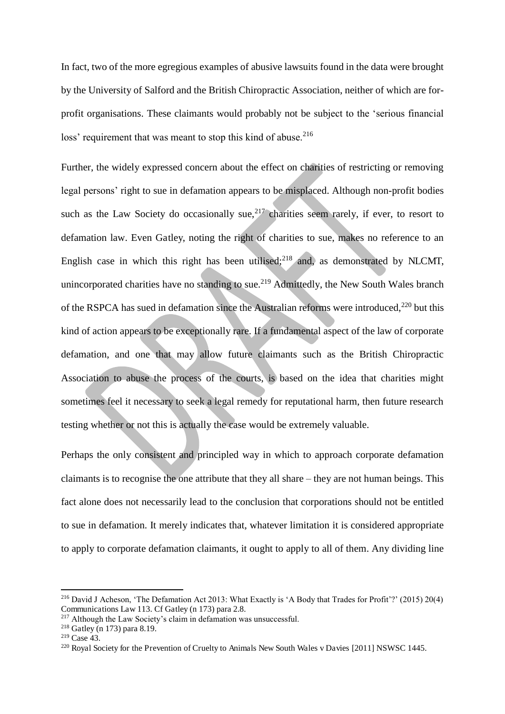In fact, two of the more egregious examples of abusive lawsuits found in the data were brought by the University of Salford and the British Chiropractic Association, neither of which are forprofit organisations. These claimants would probably not be subject to the 'serious financial loss' requirement that was meant to stop this kind of abuse.<sup>216</sup>

Further, the widely expressed concern about the effect on charities of restricting or removing legal persons' right to sue in defamation appears to be misplaced. Although non-profit bodies such as the Law Society do occasionally sue,  $2^{17}$  charities seem rarely, if ever, to resort to defamation law. Even Gatley, noting the right of charities to sue, makes no reference to an English case in which this right has been utilised; $2^{18}$  and, as demonstrated by NLCMT, unincorporated charities have no standing to sue.<sup>219</sup> Admittedly, the New South Wales branch of the RSPCA has sued in defamation since the Australian reforms were introduced, $^{220}$  but this kind of action appears to be exceptionally rare. If a fundamental aspect of the law of corporate defamation, and one that may allow future claimants such as the British Chiropractic Association to abuse the process of the courts, is based on the idea that charities might sometimes feel it necessary to seek a legal remedy for reputational harm, then future research testing whether or not this is actually the case would be extremely valuable.

Perhaps the only consistent and principled way in which to approach corporate defamation claimants is to recognise the one attribute that they all share – they are not human beings. This fact alone does not necessarily lead to the conclusion that corporations should not be entitled to sue in defamation. It merely indicates that, whatever limitation it is considered appropriate to apply to corporate defamation claimants, it ought to apply to all of them. Any dividing line

<sup>&</sup>lt;sup>216</sup> David J Acheson, 'The Defamation Act 2013: What Exactly is 'A Body that Trades for Profit'?' (2015) 20(4) Communications Law 113. Cf Gatley (n 173) para 2.8.

<sup>&</sup>lt;sup>217</sup> Although the Law Society's claim in defamation was unsuccessful.

<sup>218</sup> Gatley (n 173) para 8.19.

<sup>219</sup> Case 43.

<sup>&</sup>lt;sup>220</sup> Royal Society for the Prevention of Cruelty to Animals New South Wales v Davies [2011] NSWSC 1445.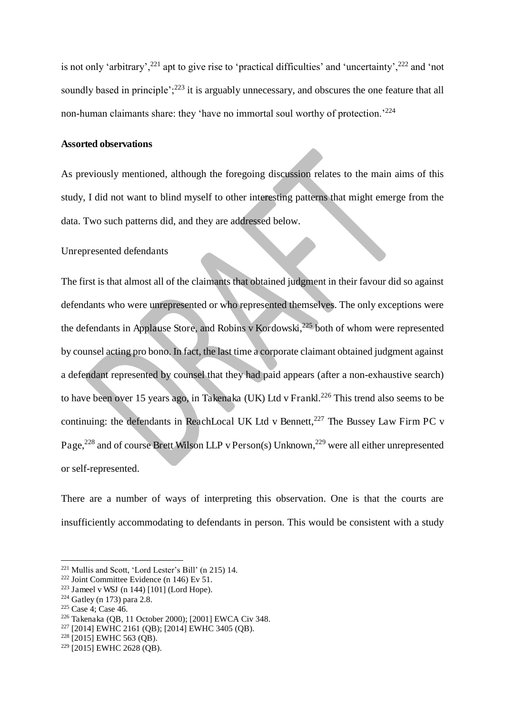is not only 'arbitrary',<sup>221</sup> apt to give rise to 'practical difficulties' and 'uncertainty',<sup>222</sup> and 'not soundly based in principle': $2^{23}$  it is arguably unnecessary, and obscures the one feature that all non-human claimants share: they 'have no immortal soul worthy of protection.<sup>224</sup>

#### **Assorted observations**

As previously mentioned, although the foregoing discussion relates to the main aims of this study, I did not want to blind myself to other interesting patterns that might emerge from the data. Two such patterns did, and they are addressed below.

Unrepresented defendants

The first is that almost all of the claimants that obtained judgment in their favour did so against defendants who were unrepresented or who represented themselves. The only exceptions were the defendants in Applause Store, and Robins v Kordowski,<sup>225</sup> both of whom were represented by counsel acting pro bono. In fact, the last time a corporate claimant obtained judgment against a defendant represented by counsel that they had paid appears (after a non-exhaustive search) to have been over 15 years ago, in Takenaka (UK) Ltd v Frankl.<sup>226</sup> This trend also seems to be continuing: the defendants in ReachLocal UK Ltd v Bennett, $^{227}$  The Bussey Law Firm PC v Page,<sup>228</sup> and of course Brett Wilson LLP v Person(s) Unknown,<sup>229</sup> were all either unrepresented or self-represented.

There are a number of ways of interpreting this observation. One is that the courts are insufficiently accommodating to defendants in person. This would be consistent with a study

<sup>221</sup> Mullis and Scott, 'Lord Lester's Bill' (n 215) 14.

<sup>&</sup>lt;sup>222</sup> Joint Committee Evidence (n 146) Ev 51.

<sup>&</sup>lt;sup>223</sup> Jameel v WSJ (n 144)  $[101]$  (Lord Hope).

 $224$  Gatley (n 173) para 2.8.

<sup>225</sup> Case 4; Case 46.

<sup>226</sup> Takenaka (QB, 11 October 2000); [2001] EWCA Civ 348.

<sup>227</sup> [2014] EWHC 2161 (QB); [2014] EWHC 3405 (QB).

 $228$  [2015] EWHC 563 (QB).

<sup>229</sup> [2015] EWHC 2628 (QB).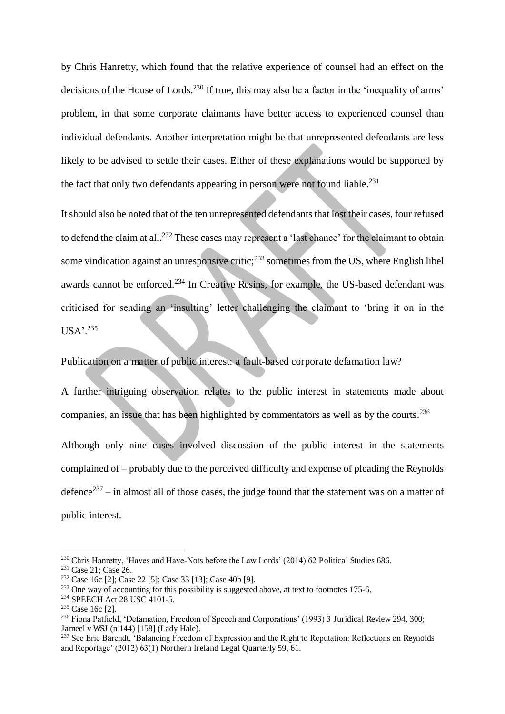by Chris Hanretty, which found that the relative experience of counsel had an effect on the decisions of the House of Lords.<sup>230</sup> If true, this may also be a factor in the 'inequality of arms' problem, in that some corporate claimants have better access to experienced counsel than individual defendants. Another interpretation might be that unrepresented defendants are less likely to be advised to settle their cases. Either of these explanations would be supported by the fact that only two defendants appearing in person were not found liable.<sup>231</sup>

It should also be noted that of the ten unrepresented defendants that lost their cases, four refused to defend the claim at all.<sup>232</sup> These cases may represent a 'last chance' for the claimant to obtain some vindication against an unresponsive critic;<sup>233</sup> sometimes from the US, where English libel awards cannot be enforced.<sup>234</sup> In Creative Resins, for example, the US-based defendant was criticised for sending an 'insulting' letter challenging the claimant to 'bring it on in the USA'.<sup>235</sup>

Publication on a matter of public interest: a fault-based corporate defamation law?

A further intriguing observation relates to the public interest in statements made about companies, an issue that has been highlighted by commentators as well as by the courts.<sup>236</sup> Although only nine cases involved discussion of the public interest in the statements complained of – probably due to the perceived difficulty and expense of pleading the Reynolds defence<sup>237</sup> – in almost all of those cases, the judge found that the statement was on a matter of public interest.

<sup>&</sup>lt;sup>230</sup> Chris Hanretty, 'Haves and Have-Nots before the Law Lords' (2014) 62 Political Studies 686.

<sup>&</sup>lt;sup>231</sup> Case 21; Case 26.

<sup>232</sup> Case 16c [2]; Case 22 [5]; Case 33 [13]; Case 40b [9].

<sup>&</sup>lt;sup>233</sup> One way of accounting for this possibility is suggested above, at text to footnotes 175-6.

<sup>&</sup>lt;sup>234</sup> SPEECH Act 28 USC 4101-5.

<sup>235</sup> Case 16c [2].

<sup>236</sup> Fiona Patfield, 'Defamation, Freedom of Speech and Corporations' (1993) 3 Juridical Review 294, 300; Jameel v WSJ (n 144) [158] (Lady Hale).

<sup>&</sup>lt;sup>237</sup> See Eric Barendt, 'Balancing Freedom of Expression and the Right to Reputation: Reflections on Reynolds and Reportage' (2012) 63(1) Northern Ireland Legal Quarterly 59, 61.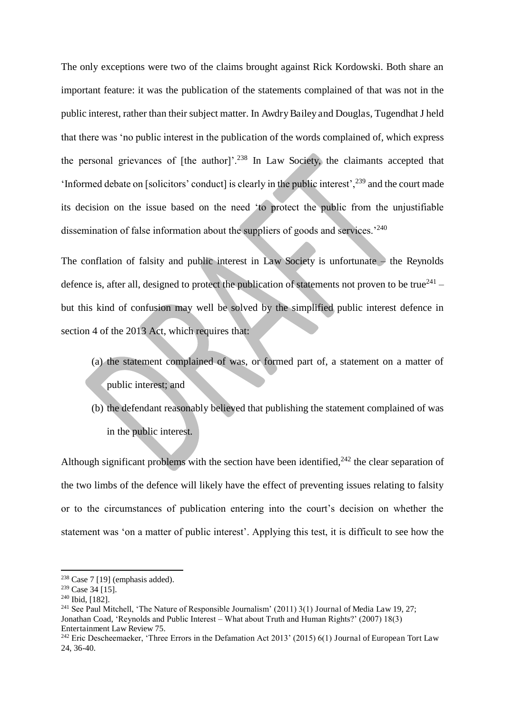The only exceptions were two of the claims brought against Rick Kordowski. Both share an important feature: it was the publication of the statements complained of that was not in the public interest, rather than their subject matter. In Awdry Bailey and Douglas, Tugendhat J held that there was 'no public interest in the publication of the words complained of, which express the personal grievances of  $[the author]$ <sup>238</sup> In Law Society, the claimants accepted that 'Informed debate on [solicitors' conduct] is clearly in the public interest',<sup>239</sup> and the court made its decision on the issue based on the need 'to protect the public from the unjustifiable dissemination of false information about the suppliers of goods and services.<sup>'240</sup>

The conflation of falsity and public interest in Law Society is unfortunate  $-$  the Reynolds defence is, after all, designed to protect the publication of statements not proven to be true $^{241}$  but this kind of confusion may well be solved by the simplified public interest defence in section 4 of the 2013 Act, which requires that:

- (a) the statement complained of was, or formed part of, a statement on a matter of public interest; and
- (b) the defendant reasonably believed that publishing the statement complained of was in the public interest.

Although significant problems with the section have been identified,  $242$  the clear separation of the two limbs of the defence will likely have the effect of preventing issues relating to falsity or to the circumstances of publication entering into the court's decision on whether the statement was 'on a matter of public interest'. Applying this test, it is difficult to see how the

 $238$  Case 7 [19] (emphasis added).

<sup>239</sup> Case 34 [15].

<sup>240</sup> Ibid, [182].

<sup>&</sup>lt;sup>241</sup> See Paul Mitchell, 'The Nature of Responsible Journalism' (2011) 3(1) Journal of Media Law 19, 27; Jonathan Coad, 'Reynolds and Public Interest – What about Truth and Human Rights?' (2007) 18(3) Entertainment Law Review 75.

<sup>&</sup>lt;sup>242</sup> Eric Descheemaeker, 'Three Errors in the Defamation Act 2013' (2015) 6(1) Journal of European Tort Law 24, 36-40.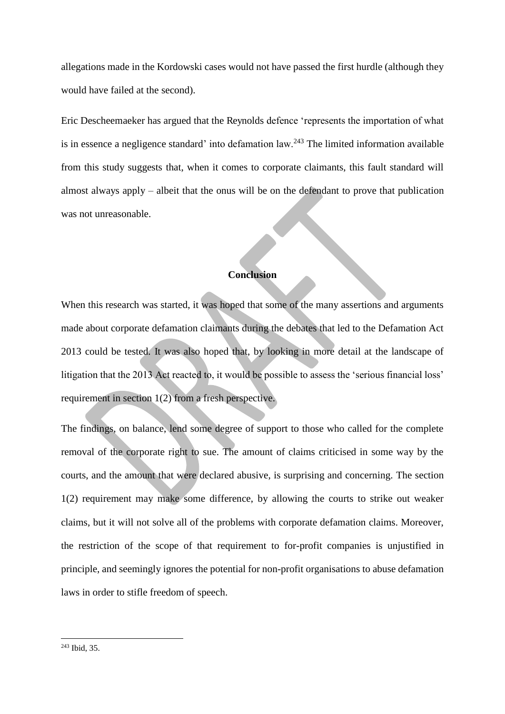allegations made in the Kordowski cases would not have passed the first hurdle (although they would have failed at the second).

Eric Descheemaeker has argued that the Reynolds defence 'represents the importation of what is in essence a negligence standard' into defamation law.<sup>243</sup> The limited information available from this study suggests that, when it comes to corporate claimants, this fault standard will almost always apply – albeit that the onus will be on the defendant to prove that publication was not unreasonable.

#### **Conclusion**

When this research was started, it was hoped that some of the many assertions and arguments made about corporate defamation claimants during the debates that led to the Defamation Act 2013 could be tested. It was also hoped that, by looking in more detail at the landscape of litigation that the 2013 Act reacted to, it would be possible to assess the 'serious financial loss' requirement in section 1(2) from a fresh perspective.

The findings, on balance, lend some degree of support to those who called for the complete removal of the corporate right to sue. The amount of claims criticised in some way by the courts, and the amount that were declared abusive, is surprising and concerning. The section 1(2) requirement may make some difference, by allowing the courts to strike out weaker claims, but it will not solve all of the problems with corporate defamation claims. Moreover, the restriction of the scope of that requirement to for-profit companies is unjustified in principle, and seemingly ignores the potential for non-profit organisations to abuse defamation laws in order to stifle freedom of speech.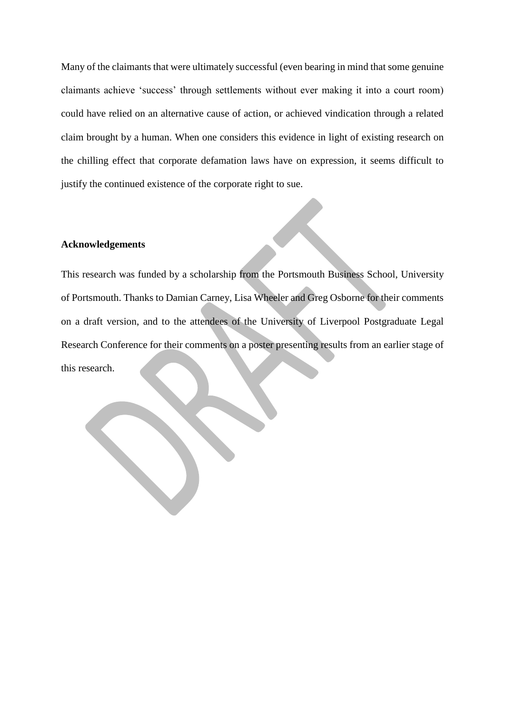Many of the claimants that were ultimately successful (even bearing in mind that some genuine claimants achieve 'success' through settlements without ever making it into a court room) could have relied on an alternative cause of action, or achieved vindication through a related claim brought by a human. When one considers this evidence in light of existing research on the chilling effect that corporate defamation laws have on expression, it seems difficult to justify the continued existence of the corporate right to sue.

#### **Acknowledgements**

This research was funded by a scholarship from the Portsmouth Business School, University of Portsmouth. Thanks to Damian Carney, Lisa Wheeler and Greg Osborne for their comments on a draft version, and to the attendees of the University of Liverpool Postgraduate Legal Research Conference for their comments on a poster presenting results from an earlier stage of this research.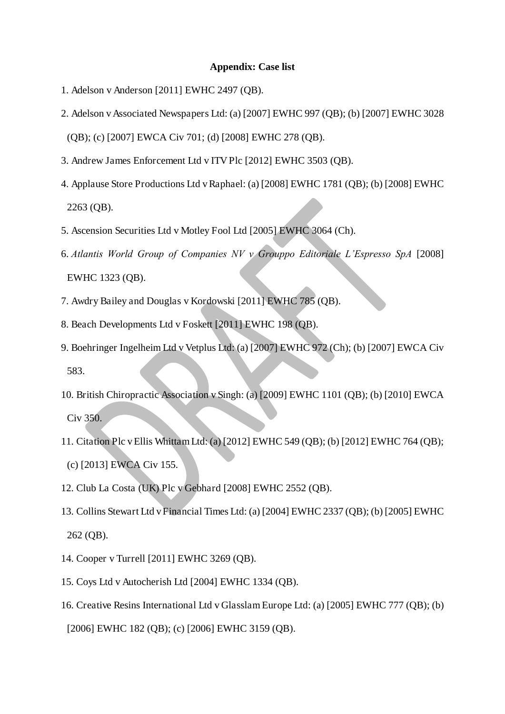#### **Appendix: Case list**

- 1. Adelson v Anderson [2011] EWHC 2497 (QB).
- 2. Adelson v Associated Newspapers Ltd: (a) [2007] EWHC 997 (QB); (b) [2007] EWHC 3028

(QB); (c) [2007] EWCA Civ 701; (d) [2008] EWHC 278 (QB).

- 3. Andrew James Enforcement Ltd v ITV Plc [2012] EWHC 3503 (QB).
- 4. Applause Store Productions Ltd v Raphael: (a) [2008] EWHC 1781 (QB); (b) [2008] EWHC 2263 (QB).
- 5. Ascension Securities Ltd v Motley Fool Ltd [2005] EWHC 3064 (Ch).
- 6. *Atlantis World Group of Companies NV v Grouppo Editoriale L'Espresso SpA* [2008] EWHC 1323 (QB).
- 7. Awdry Bailey and Douglas v Kordowski [2011] EWHC 785 (QB).
- 8. Beach Developments Ltd v Foskett [2011] EWHC 198 (QB).
- 9. Boehringer Ingelheim Ltd v Vetplus Ltd: (a) [2007] EWHC 972 (Ch); (b) [2007] EWCA Civ 583.
- 10. British Chiropractic Association v Singh: (a) [2009] EWHC 1101 (QB); (b) [2010] EWCA Civ 350.
- 11. Citation Plc v Ellis Whittam Ltd: (a) [2012] EWHC 549 (QB); (b) [2012] EWHC 764 (QB); (c) [2013] EWCA Civ 155.
- 12. Club La Costa (UK) Plc v Gebhard [2008] EWHC 2552 (QB).
- 13. Collins Stewart Ltd v Financial Times Ltd: (a) [2004] EWHC 2337 (QB); (b) [2005] EWHC 262 (QB).
- 14. Cooper v Turrell [2011] EWHC 3269 (QB).
- 15. Coys Ltd v Autocherish Ltd [2004] EWHC 1334 (QB).
- 16. Creative Resins International Ltd v Glasslam Europe Ltd: (a) [2005] EWHC 777 (QB); (b) [2006] EWHC 182 (QB); (c) [2006] EWHC 3159 (QB).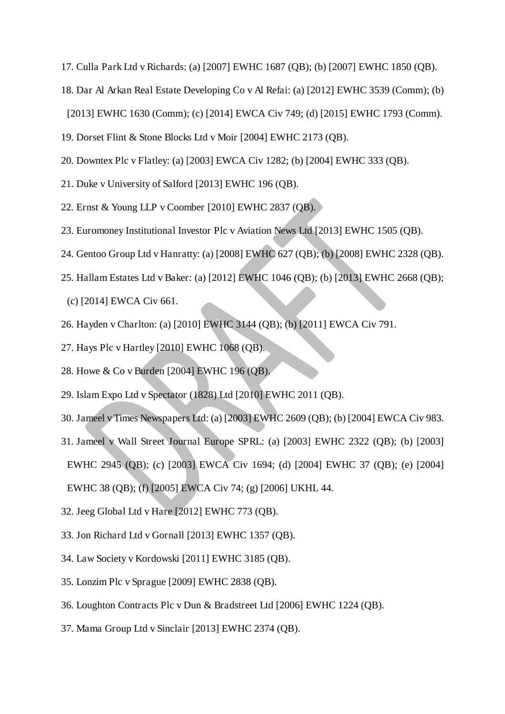- 17. Culla Park Ltd v Richards: (a) [2007] EWHC 1687 (QB); (b) [2007] EWHC 1850 (QB).
- 18. Dar Al Arkan Real Estate Developing Co v Al Refai: (a) [2012] EWHC 3539 (Comm); (b) [2013] EWHC 1630 (Comm); (c) [2014] EWCA Civ 749; (d) [2015] EWHC 1793 (Comm).
- 19. Dorset Flint & Stone Blocks Ltd v Moir [2004] EWHC 2173 (QB).
- 20. Downtex Plc v Flatley: (a) [2003] EWCA Civ 1282; (b) [2004] EWHC 333 (QB).
- 21. Duke v University of Salford [2013] EWHC 196 (QB).
- 22. Ernst & Young LLP v Coomber [2010] EWHC 2837 (QB).
- 23. Euromoney Institutional Investor Plc v Aviation News Ltd [2013] EWHC 1505 (QB).
- 24. Gentoo Group Ltd v Hanratty: (a) [2008] EWHC 627 (QB); (b) [2008] EWHC 2328 (QB).
- 25. Hallam Estates Ltd v Baker: (a) [2012] EWHC 1046 (QB); (b) [2013] EWHC 2668 (QB); (c) [2014] EWCA Civ 661.
- 26. Hayden v Charlton: (a) [2010] EWHC 3144 (QB); (b) [2011] EWCA Civ 791.
- 27. Hays Plc v Hartley [2010] EWHC 1068 (QB).
- 28. Howe & Co v Burden [2004] EWHC 196 (QB).
- 29. Islam Expo Ltd v Spectator (1828) Ltd [2010] EWHC 2011 (QB).
- 30. Jameel v Times Newspapers Ltd: (a) [2003] EWHC 2609 (QB); (b) [2004] EWCA Civ 983.
- 31. Jameel v Wall Street Journal Europe SPRL: (a) [2003] EWHC 2322 (QB); (b) [2003] EWHC 2945 (QB); (c) [2003] EWCA Civ 1694; (d) [2004] EWHC 37 (QB); (e) [2004] EWHC 38 (QB); (f) [2005] EWCA Civ 74; (g) [2006] UKHL 44.
- 32. Jeeg Global Ltd v Hare [2012] EWHC 773 (QB).
- 33. Jon Richard Ltd v Gornall [2013] EWHC 1357 (QB).
- 34. Law Society v Kordowski [2011] EWHC 3185 (QB).
- 35. Lonzim Plc v Sprague [2009] EWHC 2838 (QB).
- 36. Loughton Contracts Plc v Dun & Bradstreet Ltd [2006] EWHC 1224 (QB).
- 37. Mama Group Ltd v Sinclair [2013] EWHC 2374 (QB).